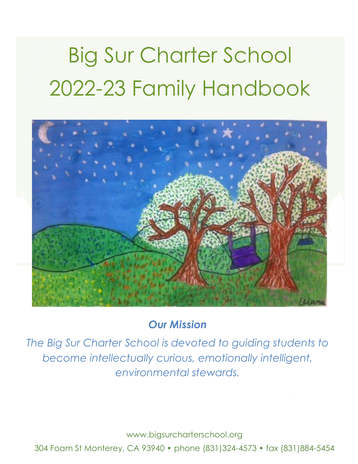# Big Sur Charter School 2022-23 Family Handbook



# *Our Mission*

*The Big Sur Charter School is devoted to guiding students to become intellectually curious, emotionally intelligent, environmental stewards.*

www.bigsurcharterschool.org

304 Foam St Monterey, CA 93940 • phone (831)324-4573 • fax (831)884-5454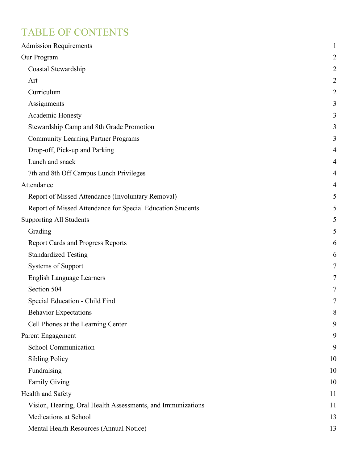# TABLE OF CONTENTS

| <b>Admission Requirements</b>                               | 1              |
|-------------------------------------------------------------|----------------|
| Our Program                                                 | $\overline{c}$ |
| Coastal Stewardship                                         | $\overline{c}$ |
| Art                                                         | $\overline{c}$ |
| Curriculum                                                  | $\overline{c}$ |
| Assignments                                                 | 3              |
| Academic Honesty                                            | 3              |
| Stewardship Camp and 8th Grade Promotion                    | 3              |
| <b>Community Learning Partner Programs</b>                  | 3              |
| Drop-off, Pick-up and Parking                               | 4              |
| Lunch and snack                                             | 4              |
| 7th and 8th Off Campus Lunch Privileges                     | 4              |
| Attendance                                                  | 4              |
| Report of Missed Attendance (Involuntary Removal)           | 5              |
| Report of Missed Attendance for Special Education Students  | 5              |
| <b>Supporting All Students</b>                              | 5              |
| Grading                                                     | 5              |
| <b>Report Cards and Progress Reports</b>                    | 6              |
| <b>Standardized Testing</b>                                 | 6              |
| <b>Systems of Support</b>                                   | 7              |
| <b>English Language Learners</b>                            | 7              |
| Section 504                                                 | 7              |
| Special Education - Child Find                              | 7              |
| <b>Behavior Expectations</b>                                | 8              |
| Cell Phones at the Learning Center                          | 9              |
| Parent Engagement                                           | 9              |
| <b>School Communication</b>                                 | 9              |
| <b>Sibling Policy</b>                                       | 10             |
| Fundraising                                                 | 10             |
| <b>Family Giving</b>                                        | 10             |
| Health and Safety                                           | 11             |
| Vision, Hearing, Oral Health Assessments, and Immunizations | 11             |
| Medications at School                                       | 13             |
| Mental Health Resources (Annual Notice)                     | 13             |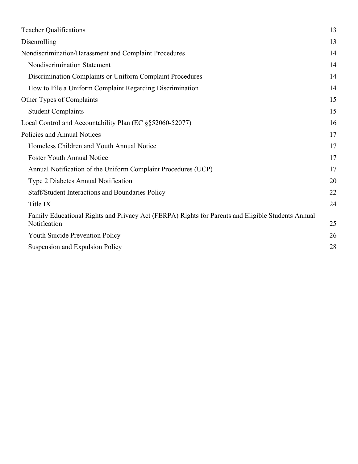| <b>Teacher Qualifications</b>                                                                                     | 13 |
|-------------------------------------------------------------------------------------------------------------------|----|
| Disenrolling                                                                                                      | 13 |
| Nondiscrimination/Harassment and Complaint Procedures                                                             | 14 |
| Nondiscrimination Statement                                                                                       | 14 |
| Discrimination Complaints or Uniform Complaint Procedures                                                         | 14 |
| How to File a Uniform Complaint Regarding Discrimination                                                          | 14 |
| Other Types of Complaints                                                                                         | 15 |
| <b>Student Complaints</b>                                                                                         | 15 |
| Local Control and Accountability Plan (EC §§52060-52077)                                                          | 16 |
| Policies and Annual Notices                                                                                       | 17 |
| Homeless Children and Youth Annual Notice                                                                         | 17 |
| <b>Foster Youth Annual Notice</b>                                                                                 | 17 |
| Annual Notification of the Uniform Complaint Procedures (UCP)                                                     | 17 |
| Type 2 Diabetes Annual Notification                                                                               | 20 |
| Staff/Student Interactions and Boundaries Policy                                                                  | 22 |
| Title IX                                                                                                          | 24 |
| Family Educational Rights and Privacy Act (FERPA) Rights for Parents and Eligible Students Annual<br>Notification | 25 |
| <b>Youth Suicide Prevention Policy</b>                                                                            | 26 |
| Suspension and Expulsion Policy                                                                                   | 28 |
|                                                                                                                   |    |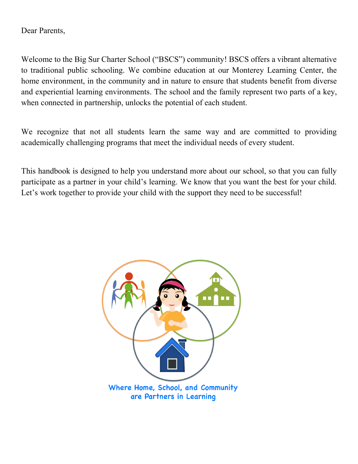Dear Parents,

Welcome to the Big Sur Charter School ("BSCS") community! BSCS offers a vibrant alternative to traditional public schooling. We combine education at our Monterey Learning Center, the home environment, in the community and in nature to ensure that students benefit from diverse and experiential learning environments. The school and the family represent two parts of a key, when connected in partnership, unlocks the potential of each student.

We recognize that not all students learn the same way and are committed to providing academically challenging programs that meet the individual needs of every student.

This handbook is designed to help you understand more about our school, so that you can fully participate as a partner in your child's learning. We know that you want the best for your child. Let's work together to provide your child with the support they need to be successful!

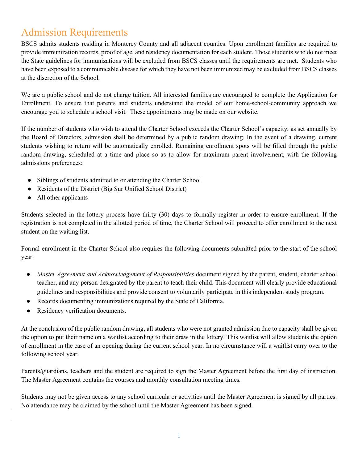# Admission Requirements

BSCS admits students residing in Monterey County and all adjacent counties. Upon enrollment families are required to provide immunization records, proof of age, and residency documentation for each student. Those students who do not meet the State guidelines for immunizations will be excluded from BSCS classes until the requirements are met. Students who have been exposed to a communicable disease for which they have not been immunized may be excluded from BSCS classes at the discretion of the School.

We are a public school and do not charge tuition. All interested families are encouraged to complete the Application for Enrollment. To ensure that parents and students understand the model of our home-school-community approach we encourage you to schedule a school visit. These appointments may be made on our website.

If the number of students who wish to attend the Charter School exceeds the Charter School's capacity, as set annually by the Board of Directors, admission shall be determined by a public random drawing. In the event of a drawing, current students wishing to return will be automatically enrolled. Remaining enrollment spots will be filled through the public random drawing, scheduled at a time and place so as to allow for maximum parent involvement, with the following admissions preferences:

- Siblings of students admitted to or attending the Charter School
- Residents of the District (Big Sur Unified School District)
- All other applicants

Students selected in the lottery process have thirty (30) days to formally register in order to ensure enrollment. If the registration is not completed in the allotted period of time, the Charter School will proceed to offer enrollment to the next student on the waiting list.

Formal enrollment in the Charter School also requires the following documents submitted prior to the start of the school year:

- *Master Agreement and Acknowledgement of Responsibilities* document signed by the parent, student, charter school teacher, and any person designated by the parent to teach their child. This document will clearly provide educational guidelines and responsibilities and provide consent to voluntarily participate in this independent study program.
- Records documenting immunizations required by the State of California.
- Residency verification documents.

At the conclusion of the public random drawing, all students who were not granted admission due to capacity shall be given the option to put their name on a waitlist according to their draw in the lottery. This waitlist will allow students the option of enrollment in the case of an opening during the current school year. In no circumstance will a waitlist carry over to the following school year.

Parents/guardians, teachers and the student are required to sign the Master Agreement before the first day of instruction. The Master Agreement contains the courses and monthly consultation meeting times.

Students may not be given access to any school curricula or activities until the Master Agreement is signed by all parties. No attendance may be claimed by the school until the Master Agreement has been signed.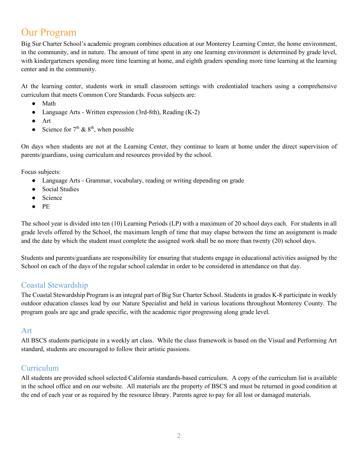# Our Program

Big Sur Charter School's academic program combines education at our Monterey Learning Center, the home environment, in the community, and in nature. The amount of time spent in any one learning environment is determined by grade level, with kindergarteners spending more time learning at home, and eighth graders spending more time learning at the learning center and in the community.

At the learning center, students work in small classroom settings with credentialed teachers using a comprehensive curriculum that meets Common Core Standards. Focus subjects are:

- Math
- Language Arts Written expression (3rd-8th), Reading (K-2)
- Art
- Science for  $7<sup>th</sup>$  &  $8<sup>th</sup>$ , when possible

On days when students are not at the Learning Center, they continue to learn at home under the direct supervision of parents/guardians, using curriculum and resources provided by the school.

Focus subjects:

- Language Arts Grammar, vocabulary, reading or writing depending on grade
- Social Studies
- Science
- PE

The school year is divided into ten (10) Learning Periods (LP) with a maximum of 20 school days each. For students in all grade levels offered by the School, the maximum length of time that may elapse between the time an assignment is made and the date by which the student must complete the assigned work shall be no more than twenty (20) school days.

Students and parents/guardians are responsibility for ensuring that students engage in educational activities assigned by the School on each of the days of the regular school calendar in order to be considered in attendance on that day.

### Coastal Stewardship

The Coastal Stewardship Program is an integral part of Big Sur Charter School. Students in grades K-8 participate in weekly outdoor education classes lead by our Nature Specialist and held in various locations throughout Monterey County. The program goals are age and grade specific, with the academic rigor progressing along grade level.

### Art

All BSCS students participate in a weekly art class. While the class framework is based on the Visual and Performing Art standard, students are encouraged to follow their artistic passions.

### Curriculum

All students are provided school selected California standards-based curriculum. A copy of the curriculum list is available in the school office and on our website. All materials are the property of BSCS and must be returned in good condition at the end of each year or as required by the resource library. Parents agree to pay for all lost or damaged materials.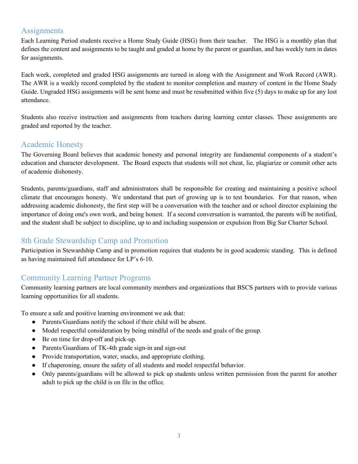### **Assignments**

Each Learning Period students receive a Home Study Guide (HSG) from their teacher. The HSG is a monthly plan that defines the content and assignments to be taught and graded at home by the parent or guardian, and has weekly turn in dates for assignments.

Each week, completed and graded HSG assignments are turned in along with the Assignment and Work Record (AWR). The AWR is a weekly record completed by the student to monitor completion and mastery of content in the Home Study Guide. Ungraded HSG assignments will be sent home and must be resubmitted within five (5) days to make up for any lost attendance.

Students also receive instruction and assignments from teachers during learning center classes. These assignments are graded and reported by the teacher.

### Academic Honesty

The Governing Board believes that academic honesty and personal integrity are fundamental components of a student's education and character development. The Board expects that students will not cheat, lie, plagiarize or commit other acts of academic dishonesty.

Students, parents/guardians, staff and administrators shall be responsible for creating and maintaining a positive school climate that encourages honesty. We understand that part of growing up is to test boundaries. For that reason, when addressing academic dishonesty, the first step will be a conversation with the teacher and or school director explaining the importance of doing one's own work, and being honest. If a second conversation is warranted, the parents will be notified, and the student shall be subject to discipline, up to and including suspension or expulsion from Big Sur Charter School.

### 8th Grade Stewardship Camp and Promotion

Participation in Stewardship Camp and in promotion requires that students be in good academic standing. This is defined as having maintained full attendance for LP's 6-10.

### Community Learning Partner Programs

Community learning partners are local community members and organizations that BSCS partners with to provide various learning opportunities for all students.

To ensure a safe and positive learning environment we ask that:

- Parents/Guardians notify the school if their child will be absent.
- Model respectful consideration by being mindful of the needs and goals of the group.
- Be on time for drop-off and pick-up.
- Parents/Guardians of TK-4th grade sign-in and sign-out
- Provide transportation, water, snacks, and appropriate clothing.
- If chaperoning, ensure the safety of all students and model respectful behavior.
- Only parents/guardians will be allowed to pick up students unless written permission from the parent for another adult to pick up the child is on file in the office.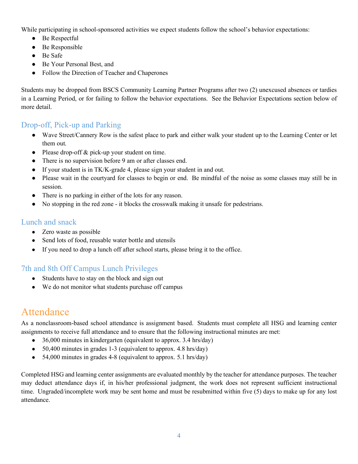While participating in school-sponsored activities we expect students follow the school's behavior expectations:

- Be Respectful
- Be Responsible
- Be Safe
- Be Your Personal Best, and
- Follow the Direction of Teacher and Chaperones

Students may be dropped from BSCS Community Learning Partner Programs after two (2) unexcused absences or tardies in a Learning Period, or for failing to follow the behavior expectations. See the Behavior Expectations section below of more detail.

### Drop-off, Pick-up and Parking

- Wave Street/Cannery Row is the safest place to park and either walk your student up to the Learning Center or let them out.
- Please drop-off & pick-up your student on time.
- There is no supervision before 9 am or after classes end.
- If your student is in TK/K-grade 4, please sign your student in and out.
- Please wait in the courtyard for classes to begin or end. Be mindful of the noise as some classes may still be in session.
- There is no parking in either of the lots for any reason.
- No stopping in the red zone it blocks the crosswalk making it unsafe for pedestrians.

### Lunch and snack

- Zero waste as possible
- Send lots of food, reusable water bottle and utensils
- If you need to drop a lunch off after school starts, please bring it to the office.

### 7th and 8th Off Campus Lunch Privileges

- Students have to stay on the block and sign out
- We do not monitor what students purchase off campus

# Attendance

As a nonclassroom-based school attendance is assignment based. Students must complete all HSG and learning center assignments to receive full attendance and to ensure that the following instructional minutes are met:

- 36,000 minutes in kindergarten (equivalent to approx. 3.4 hrs/day)
- $\bullet$  50,400 minutes in grades 1-3 (equivalent to approx. 4.8 hrs/day)
- 54,000 minutes in grades 4-8 (equivalent to approx. 5.1 hrs/day)

Completed HSG and learning center assignments are evaluated monthly by the teacher for attendance purposes. The teacher may deduct attendance days if, in his/her professional judgment, the work does not represent sufficient instructional time. Ungraded/incomplete work may be sent home and must be resubmitted within five (5) days to make up for any lost attendance.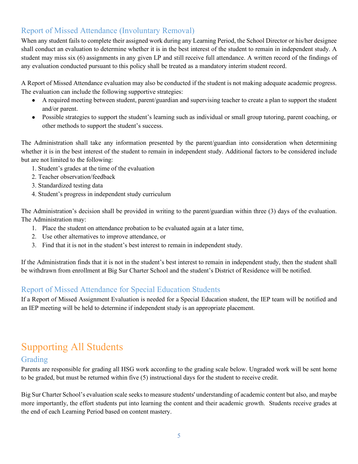### Report of Missed Attendance (Involuntary Removal)

When any student fails to complete their assigned work during any Learning Period, the School Director or his/her designee shall conduct an evaluation to determine whether it is in the best interest of the student to remain in independent study. A student may miss six (6) assignments in any given LP and still receive full attendance. A written record of the findings of any evaluation conducted pursuant to this policy shall be treated as a mandatory interim student record.

A Report of Missed Attendance evaluation may also be conducted if the student is not making adequate academic progress. The evaluation can include the following supportive strategies:

- A required meeting between student, parent/guardian and supervising teacher to create a plan to support the student and/or parent.
- Possible strategies to support the student's learning such as individual or small group tutoring, parent coaching, or other methods to support the student's success.

The Administration shall take any information presented by the parent/guardian into consideration when determining whether it is in the best interest of the student to remain in independent study. Additional factors to be considered include but are not limited to the following:

- 1. Student's grades at the time of the evaluation
- 2. Teacher observation/feedback
- 3. Standardized testing data
- 4. Student's progress in independent study curriculum

The Administration's decision shall be provided in writing to the parent/guardian within three (3) days of the evaluation. The Administration may:

- 1. Place the student on attendance probation to be evaluated again at a later time,
- 2. Use other alternatives to improve attendance, or
- 3. Find that it is not in the student's best interest to remain in independent study.

If the Administration finds that it is not in the student's best interest to remain in independent study, then the student shall be withdrawn from enrollment at Big Sur Charter School and the student's District of Residence will be notified.

### Report of Missed Attendance for Special Education Students

If a Report of Missed Assignment Evaluation is needed for a Special Education student, the IEP team will be notified and an IEP meeting will be held to determine if independent study is an appropriate placement.

# Supporting All Students

### Grading

Parents are responsible for grading all HSG work according to the grading scale below. Ungraded work will be sent home to be graded, but must be returned within five (5) instructional days for the student to receive credit.

Big Sur Charter School's evaluation scale seeks to measure students' understanding of academic content but also, and maybe more importantly, the effort students put into learning the content and their academic growth. Students receive grades at the end of each Learning Period based on content mastery.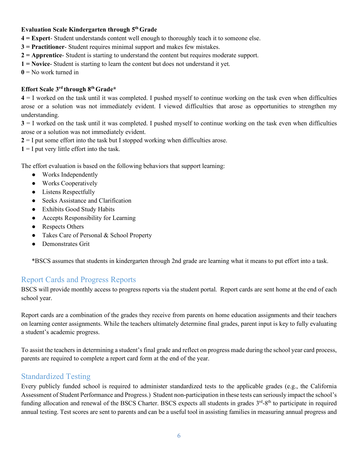#### **Evaluation Scale Kindergarten through 5th Grade**

- **4 = Expert** Student understands content well enough to thoroughly teach it to someone else.
- **3 = Practitioner** Student requires minimal support and makes few mistakes.
- **2 = Apprentice** Student is starting to understand the content but requires moderate support.
- **1 = Novice** Student is starting to learn the content but does not understand it yet.
- $\mathbf{0}$  = No work turned in

#### **Effort Scale 3rd through 8th Grade\***

**4** = I worked on the task until it was completed. I pushed myself to continue working on the task even when difficulties arose or a solution was not immediately evident. I viewed difficulties that arose as opportunities to strengthen my understanding.

**3** = I worked on the task until it was completed. I pushed myself to continue working on the task even when difficulties arose or a solution was not immediately evident.

**2** = I put some effort into the task but I stopped working when difficulties arose.

 $1 = I$  put very little effort into the task.

The effort evaluation is based on the following behaviors that support learning:

- Works Independently
- Works Cooperatively
- Listens Respectfully
- Seeks Assistance and Clarification
- Exhibits Good Study Habits
- Accepts Responsibility for Learning
- Respects Others
- Takes Care of Personal & School Property
- Demonstrates Grit

\*BSCS assumes that students in kindergarten through 2nd grade are learning what it means to put effort into a task.

### Report Cards and Progress Reports

BSCS will provide monthly access to progress reports via the student portal. Report cards are sent home at the end of each school year.

Report cards are a combination of the grades they receive from parents on home education assignments and their teachers on learning center assignments. While the teachers ultimately determine final grades, parent input is key to fully evaluating a student's academic progress.

To assist the teachers in determining a student's final grade and reflect on progress made during the school year card process, parents are required to complete a report card form at the end of the year.

### Standardized Testing

Every publicly funded school is required to administer standardized tests to the applicable grades (e.g., the California Assessment of Student Performance and Progress.) Student non-participation in these tests can seriously impact the school's funding allocation and renewal of the BSCS Charter. BSCS expects all students in grades 3<sup>rd</sup>-8<sup>th</sup> to participate in required annual testing. Test scores are sent to parents and can be a useful tool in assisting families in measuring annual progress and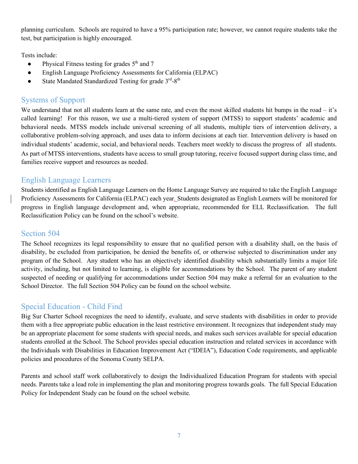planning curriculum. Schools are required to have a 95% participation rate; however, we cannot require students take the test, but participation is highly encouraged.

Tests include:

- $\bullet$  Physical Fitness testing for grades  $5<sup>th</sup>$  and 7
- English Language Proficiency Assessments for California (ELPAC)
- State Mandated Standardized Testing for grade  $3<sup>rd</sup>$ -8<sup>th</sup>

### Systems of Support

We understand that not all students learn at the same rate, and even the most skilled students hit bumps in the road – it's called learning! For this reason, we use a multi-tiered system of support (MTSS) to support students' academic and behavioral needs. MTSS models include universal screening of all students, multiple tiers of intervention delivery, a collaborative problem-solving approach, and uses data to inform decisions at each tier. Intervention delivery is based on individual students' academic, social, and behavioral needs. Teachers meet weekly to discuss the progress of all students. As part of MTSS interventions, students have access to small group tutoring, receive focused support during class time, and families receive support and resources as needed.

### English Language Learners

Students identified as English Language Learners on the Home Language Survey are required to take the English Language Proficiency Assessments for California (ELPAC) each year. Students designated as English Learners will be monitored for progress in English language development and, when appropriate, recommended for ELL Reclassification. The full Reclassification Policy can be found on the school's website.

### Section 504

The School recognizes its legal responsibility to ensure that no qualified person with a disability shall, on the basis of disability, be excluded from participation, be denied the benefits of, or otherwise subjected to discrimination under any program of the School. Any student who has an objectively identified disability which substantially limits a major life activity, including, but not limited to learning, is eligible for accommodations by the School. The parent of any student suspected of needing or qualifying for accommodations under Section 504 may make a referral for an evaluation to the School Director. The full Section 504 Policy can be found on the school website.

### Special Education - Child Find

Big Sur Charter School recognizes the need to identify, evaluate, and serve students with disabilities in order to provide them with a free appropriate public education in the least restrictive environment. It recognizes that independent study may be an appropriate placement for some students with special needs, and makes such services available for special education students enrolled at the School. The School provides special education instruction and related services in accordance with the Individuals with Disabilities in Education Improvement Act ("IDEIA"), Education Code requirements, and applicable policies and procedures of the Sonoma County SELPA.

Parents and school staff work collaboratively to design the Individualized Education Program for students with special needs. Parents take a lead role in implementing the plan and monitoring progress towards goals. The full Special Education Policy for Independent Study can be found on the school website.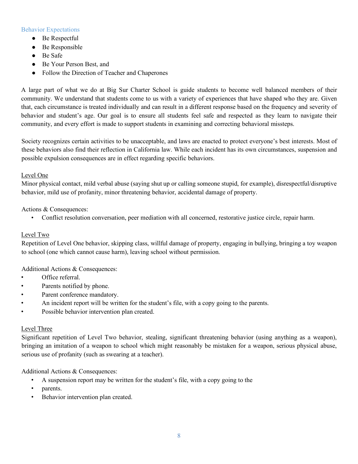#### Behavior Expectations

- Be Respectful
- Be Responsible
- Be Safe
- Be Your Person Best, and
- Follow the Direction of Teacher and Chaperones

A large part of what we do at Big Sur Charter School is guide students to become well balanced members of their community. We understand that students come to us with a variety of experiences that have shaped who they are. Given that, each circumstance is treated individually and can result in a different response based on the frequency and severity of behavior and student's age. Our goal is to ensure all students feel safe and respected as they learn to navigate their community, and every effort is made to support students in examining and correcting behavioral missteps.

Society recognizes certain activities to be unacceptable, and laws are enacted to protect everyone's best interests. Most of these behaviors also find their reflection in California law. While each incident has its own circumstances, suspension and possible expulsion consequences are in effect regarding specific behaviors.

#### Level One

Minor physical contact, mild verbal abuse (saying shut up or calling someone stupid, for example), disrespectful/disruptive behavior, mild use of profanity, minor threatening behavior, accidental damage of property.

#### Actions & Consequences:

• Conflict resolution conversation, peer mediation with all concerned, restorative justice circle, repair harm.

#### Level Two

Repetition of Level One behavior, skipping class, willful damage of property, engaging in bullying, bringing a toy weapon to school (one which cannot cause harm), leaving school without permission.

#### Additional Actions & Consequences:

- Office referral.
- Parents notified by phone.
- Parent conference mandatory.
- An incident report will be written for the student's file, with a copy going to the parents.
- Possible behavior intervention plan created.

#### Level Three

Significant repetition of Level Two behavior, stealing, significant threatening behavior (using anything as a weapon), bringing an imitation of a weapon to school which might reasonably be mistaken for a weapon, serious physical abuse, serious use of profanity (such as swearing at a teacher).

Additional Actions & Consequences:

- A suspension report may be written for the student's file, with a copy going to the
- parents.
- Behavior intervention plan created.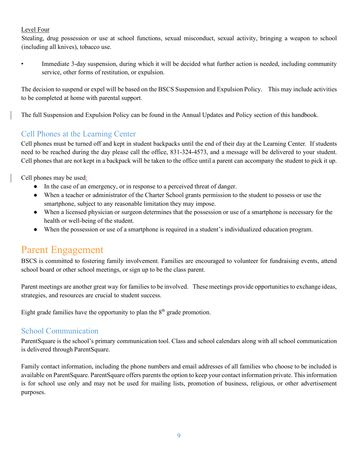#### Level Four

Stealing, drug possession or use at school functions, sexual misconduct, sexual activity, bringing a weapon to school (including all knives), tobacco use.

• Immediate 3-day suspension, during which it will be decided what further action is needed, including community service, other forms of restitution, or expulsion.

The decision to suspend or expel will be based on the BSCS Suspension and Expulsion Policy. This may include activities to be completed at home with parental support.

The full Suspension and Expulsion Policy can be found in the Annual Updates and Policy section of this handbook.

### Cell Phones at the Learning Center

Cell phones must be turned off and kept in student backpacks until the end of their day at the Learning Center. If students need to be reached during the day please call the office, 831-324-4573, and a message will be delivered to your student. Cell phones that are not kept in a backpack will be taken to the office until a parent can accompany the student to pick it up.

Cell phones may be used:

- In the case of an emergency, or in response to a perceived threat of danger.
- When a teacher or administrator of the Charter School grants permission to the student to possess or use the smartphone, subject to any reasonable limitation they may impose.
- When a licensed physician or surgeon determines that the possession or use of a smartphone is necessary for the health or well-being of the student.
- When the possession or use of a smartphone is required in a student's individualized education program.

# Parent Engagement

BSCS is committed to fostering family involvement. Families are encouraged to volunteer for fundraising events, attend school board or other school meetings, or sign up to be the class parent.

Parent meetings are another great way for families to be involved. These meetings provide opportunities to exchange ideas, strategies, and resources are crucial to student success.

Eight grade families have the opportunity to plan the  $8<sup>th</sup>$  grade promotion.

### School Communication

ParentSquare is the school's primary communication tool. Class and school calendars along with all school communication is delivered through ParentSquare.

Family contact information, including the phone numbers and email addresses of all families who choose to be included is available on ParentSquare. ParentSquare offers parents the option to keep your contact information private. This information is for school use only and may not be used for mailing lists, promotion of business, religious, or other advertisement purposes.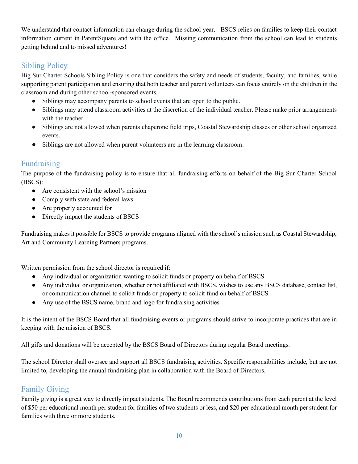We understand that contact information can change during the school year. BSCS relies on families to keep their contact information current in ParentSquare and with the office. Missing communication from the school can lead to students getting behind and to missed adventures!

### Sibling Policy

Big Sur Charter Schools Sibling Policy is one that considers the safety and needs of students, faculty, and families, while supporting parent participation and ensuring that both teacher and parent volunteers can focus entirely on the children in the classroom and during other school-sponsored events.

- Siblings may accompany parents to school events that are open to the public.
- Siblings may attend classroom activities at the discretion of the individual teacher. Please make prior arrangements with the teacher.
- Siblings are not allowed when parents chaperone field trips, Coastal Stewardship classes or other school organized events.
- Siblings are not allowed when parent volunteers are in the learning classroom.

### Fundraising

The purpose of the fundraising policy is to ensure that all fundraising efforts on behalf of the Big Sur Charter School (BSCS):

- Are consistent with the school's mission
- Comply with state and federal laws
- Are properly accounted for
- Directly impact the students of BSCS

Fundraising makes it possible for BSCS to provide programs aligned with the school's mission such as Coastal Stewardship, Art and Community Learning Partners programs.

Written permission from the school director is required if:

- Any individual or organization wanting to solicit funds or property on behalf of BSCS
- Any individual or organization, whether or not affiliated with BSCS, wishes to use any BSCS database, contact list, or communication channel to solicit funds or property to solicit fund on behalf of BSCS
- Any use of the BSCS name, brand and logo for fundraising activities

It is the intent of the BSCS Board that all fundraising events or programs should strive to incorporate practices that are in keeping with the mission of BSCS.

All gifts and donations will be accepted by the BSCS Board of Directors during regular Board meetings.

The school Director shall oversee and support all BSCS fundraising activities. Specific responsibilities include, but are not limited to, developing the annual fundraising plan in collaboration with the Board of Directors.

### Family Giving

Family giving is a great way to directly impact students. The Board recommends contributions from each parent at the level of \$50 per educational month per student for families of two students or less, and \$20 per educational month per student for families with three or more students.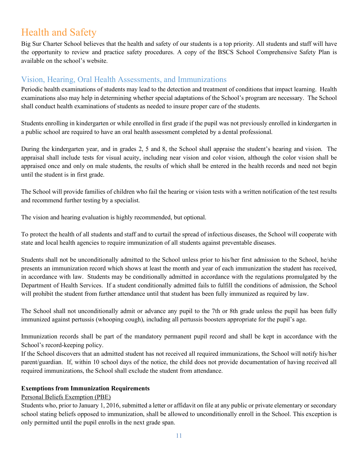# Health and Safety

Big Sur Charter School believes that the health and safety of our students is a top priority. All students and staff will have the opportunity to review and practice safety procedures. A copy of the BSCS School Comprehensive Safety Plan is available on the school's website.

### Vision, Hearing, Oral Health Assessments, and Immunizations

Periodic health examinations of students may lead to the detection and treatment of conditions that impact learning. Health examinations also may help in determining whether special adaptations of the School's program are necessary. The School shall conduct health examinations of students as needed to insure proper care of the students.

Students enrolling in kindergarten or while enrolled in first grade if the pupil was not previously enrolled in kindergarten in a public school are required to have an oral health assessment completed by a dental professional.

During the kindergarten year, and in grades 2, 5 and 8, the School shall appraise the student's hearing and vision. The appraisal shall include tests for visual acuity, including near vision and color vision, although the color vision shall be appraised once and only on male students, the results of which shall be entered in the health records and need not begin until the student is in first grade.

The School will provide families of children who fail the hearing or vision tests with a written notification of the test results and recommend further testing by a specialist.

The vision and hearing evaluation is highly recommended, but optional.

To protect the health of all students and staff and to curtail the spread of infectious diseases, the School will cooperate with state and local health agencies to require immunization of all students against preventable diseases.

Students shall not be unconditionally admitted to the School unless prior to his/her first admission to the School, he/she presents an immunization record which shows at least the month and year of each immunization the student has received, in accordance with law. Students may be conditionally admitted in accordance with the regulations promulgated by the Department of Health Services. If a student conditionally admitted fails to fulfill the conditions of admission, the School will prohibit the student from further attendance until that student has been fully immunized as required by law.

The School shall not unconditionally admit or advance any pupil to the 7th or 8th grade unless the pupil has been fully immunized against pertussis (whooping cough), including all pertussis boosters appropriate for the pupil's age.

Immunization records shall be part of the mandatory permanent pupil record and shall be kept in accordance with the School's record-keeping policy.

If the School discovers that an admitted student has not received all required immunizations, the School will notify his/her parent/guardian. If, within 10 school days of the notice, the child does not provide documentation of having received all required immunizations, the School shall exclude the student from attendance.

#### **Exemptions from Immunization Requirements**

### Personal Beliefs Exemption (PBE)

Students who, prior to January 1, 2016, submitted a letter or affidavit on file at any public or private elementary or secondary school stating beliefs opposed to immunization, shall be allowed to unconditionally enroll in the School. This exception is only permitted until the pupil enrolls in the next grade span.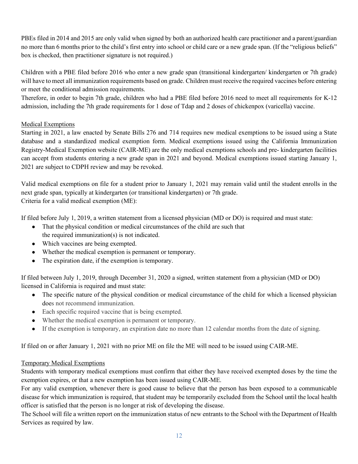PBEs filed in 2014 and 2015 are only valid when signed by both an authorized health care practitioner and a parent/guardian no more than 6 months prior to the child's first entry into school or child care or a new grade span. (If the "religious beliefs" box is checked, then practitioner signature is not required.)

Children with a PBE filed before 2016 who enter a new grade span (transitional kindergarten/ kindergarten or 7th grade) will have to meet all immunization requirements based on grade. Children must receive the required vaccines before entering or meet the conditional admission requirements.

Therefore, in order to begin 7th grade, children who had a PBE filed before 2016 need to meet all requirements for K-12 admission, including the 7th grade requirements for 1 dose of Tdap and 2 doses of chickenpox (varicella) vaccine.

### Medical Exemptions

Starting in 2021, a law enacted by Senate Bills 276 and 714 requires new medical exemptions to be issued using a State database and a standardized medical exemption form. Medical exemptions issued using the California Immunization Registry-Medical Exemption website (CAIR-ME) are the only medical exemptions schools and pre- kindergarten facilities can accept from students entering a new grade span in 2021 and beyond. Medical exemptions issued starting January 1, 2021 are subject to CDPH review and may be revoked.

Valid medical exemptions on file for a student prior to January 1, 2021 may remain valid until the student enrolls in the next grade span, typically at kindergarten (or transitional kindergarten) or 7th grade. Criteria for a valid medical exemption (ME):

If filed before July 1, 2019, a written statement from a licensed physician (MD or DO) is required and must state:

- That the physical condition or medical circumstances of the child are such that the required immunization(s) is not indicated.
- Which vaccines are being exempted.
- Whether the medical exemption is permanent or temporary.
- The expiration date, if the exemption is temporary.

If filed between July 1, 2019, through December 31, 2020 a signed, written statement from a physician (MD or DO) licensed in California is required and must state:

- The specific nature of the physical condition or medical circumstance of the child for which a licensed physician does not recommend immunization.
- Each specific required vaccine that is being exempted.
- Whether the medical exemption is permanent or temporary.
- If the exemption is temporary, an expiration date no more than 12 calendar months from the date of signing.

If filed on or after January 1, 2021 with no prior ME on file the ME will need to be issued using CAIR-ME.

### Temporary Medical Exemptions

Students with temporary medical exemptions must confirm that either they have received exempted doses by the time the exemption expires, or that a new exemption has been issued using CAIR-ME.

For any valid exemption, whenever there is good cause to believe that the person has been exposed to a communicable disease for which immunization is required, that student may be temporarily excluded from the School until the local health officer is satisfied that the person is no longer at risk of developing the disease.

The School will file a written report on the immunization status of new entrants to the School with the Department of Health Services as required by law.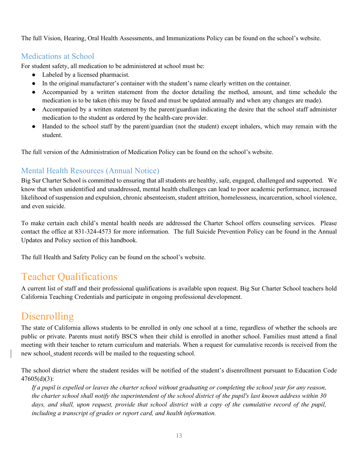The full Vision, Hearing, Oral Health Assessments, and Immunizations Policy can be found on the school's website.

### Medications at School

For student safety, all medication to be administered at school must be:

- Labeled by a licensed pharmacist.
- In the original manufacturer's container with the student's name clearly written on the container.
- Accompanied by a written statement from the doctor detailing the method, amount, and time schedule the medication is to be taken (this may be faxed and must be updated annually and when any changes are made).
- Accompanied by a written statement by the parent/guardian indicating the desire that the school staff administer medication to the student as ordered by the health-care provider.
- Handed to the school staff by the parent/guardian (not the student) except inhalers, which may remain with the student.

The full version of the Administration of Medication Policy can be found on the school's website.

### Mental Health Resources (Annual Notice)

Big Sur Charter School is committed to ensuring that all students are healthy, safe, engaged, challenged and supported. We know that when unidentified and unaddressed, mental health challenges can lead to poor academic performance, increased likelihood of suspension and expulsion, chronic absenteeism, student attrition, homelessness, incarceration, school violence, and even suicide.

To make certain each child's mental health needs are addressed the Charter School offers counseling services. Please contact the office at 831-324-4573 for more information. The full Suicide Prevention Policy can be found in the Annual Updates and Policy section of this handbook.

The full Health and Safety Policy can be found on the school's website.

# Teacher Qualifications

A current list of staff and their professional qualifications is available upon request. Big Sur Charter School teachers hold California Teaching Credentials and participate in ongoing professional development.

# Disenrolling

The state of California allows students to be enrolled in only one school at a time, regardless of whether the schools are public or private. Parents must notify BSCS when their child is enrolled in another school. Families must attend a final meeting with their teacher to return curriculum and materials. When a request for cumulative records is received from the new school, student records will be mailed to the requesting school.

The school district where the student resides will be notified of the student's disenrollment pursuant to Education Code 47605(d)(3):

*If a pupil is expelled or leaves the charter school without graduating or completing the school year for any reason, the charter school shall notify the superintendent of the school district of the pupil's last known address within 30*  days, and shall, upon request, provide that school district with a copy of the cumulative record of the pupil, *including a transcript of grades or report card, and health information.*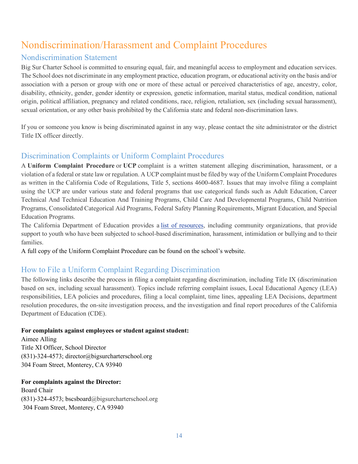# Nondiscrimination/Harassment and Complaint Procedures

### Nondiscrimination Statement

Big Sur Charter School is committed to ensuring equal, fair, and meaningful access to employment and education services. The School does not discriminate in any employment practice, education program, or educational activity on the basis and/or association with a person or group with one or more of these actual or perceived characteristics of age, ancestry, color, disability, ethnicity, gender, gender identity or expression, genetic information, marital status, medical condition, national origin, political affiliation, pregnancy and related conditions, race, religion, retaliation, sex (including sexual harassment), sexual orientation, or any other basis prohibited by the California state and federal non-discrimination laws.

If you or someone you know is being discriminated against in any way, please contact the site administrator or the district Title IX officer directly.

### Discrimination Complaints or Uniform Complaint Procedures

A **Uniform Complaint Procedure** or **UCP** complaint is a written statement alleging discrimination, harassment, or a violation of a federal or state law or regulation. A UCP complaint must be filed by way of the Uniform Complaint Procedures as written in the California Code of Regulations, Title 5, sections 4600-4687. Issues that may involve filing a complaint using the UCP are under various state and federal programs that use categorical funds such as Adult Education, Career Technical And Technical Education And Training Programs, Child Care And Developmental Programs, Child Nutrition Programs, Consolidated Categorical Aid Programs, Federal Safety Planning Requirements, Migrant Education, and Special Education Programs.

The California Department of Education provides a list of resources, including community organizations, that provide support to youth who have been subjected to school-based discrimination, harassment, intimidation or bullying and to their families.

A full copy of the Uniform Complaint Procedure can be found on the school's website.

### How to File a Uniform Complaint Regarding Discrimination

The following links describe the process in filing a complaint regarding discrimination, including Title IX (discrimination based on sex, including sexual harassment). Topics include referring complaint issues, Local Educational Agency (LEA) responsibilities, LEA policies and procedures, filing a local complaint, time lines, appealing LEA Decisions, department resolution procedures, the on-site investigation process, and the investigation and final report procedures of the California Department of Education (CDE).

### **For complaints against employees or student against student:**

Aimee Alling Title XI Officer, School Director (831)-324-4573; director@bigsurcharterschool.org 304 Foam Street, Monterey, CA 93940

**For complaints against the Director:** Board Chair (831)-324-4573; bscsboard@bigsurcharterschool.org 304 Foam Street, Monterey, CA 93940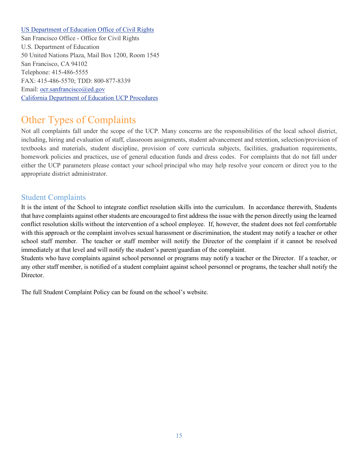#### US Department of Education Office of Civil Rights

San Francisco Office - Office for Civil Rights U.S. Department of Education 50 United Nations Plaza, Mail Box 1200, Room 1545 San Francisco, CA 94102 Telephone: 415-486-5555 FAX: 415-486-5570; TDD: 800-877-8339 Email: ocr.sanfrancisco@ed.gov California Department of Education UCP Procedures

# Other Types of Complaints

Not all complaints fall under the scope of the UCP. Many concerns are the responsibilities of the local school district, including, hiring and evaluation of staff, classroom assignments, student advancement and retention, selection/provision of textbooks and materials, student discipline, provision of core curricula subjects, facilities, graduation requirements, homework policies and practices, use of general education funds and dress codes. For complaints that do not fall under either the UCP parameters please contact your school principal who may help resolve your concern or direct you to the appropriate district administrator.

### Student Complaints

It is the intent of the School to integrate conflict resolution skills into the curriculum. In accordance therewith, Students that have complaints against other students are encouraged to first address the issue with the person directly using the learned conflict resolution skills without the intervention of a school employee. If, however, the student does not feel comfortable with this approach or the complaint involves sexual harassment or discrimination, the student may notify a teacher or other school staff member. The teacher or staff member will notify the Director of the complaint if it cannot be resolved immediately at that level and will notify the student's parent/guardian of the complaint.

Students who have complaints against school personnel or programs may notify a teacher or the Director. If a teacher, or any other staff member, is notified of a student complaint against school personnel or programs, the teacher shall notify the Director.

The full Student Complaint Policy can be found on the school's website.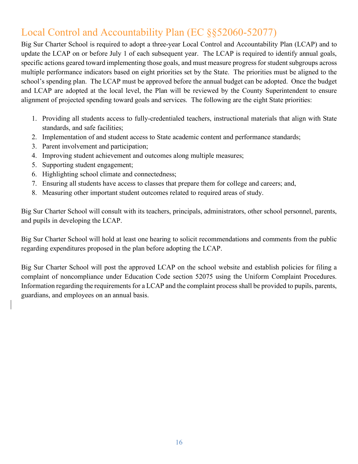# Local Control and Accountability Plan (EC §§52060-52077)

Big Sur Charter School is required to adopt a three-year Local Control and Accountability Plan (LCAP) and to update the LCAP on or before July 1 of each subsequent year. The LCAP is required to identify annual goals, specific actions geared toward implementing those goals, and must measure progress for student subgroups across multiple performance indicators based on eight priorities set by the State. The priorities must be aligned to the school's spending plan. The LCAP must be approved before the annual budget can be adopted. Once the budget and LCAP are adopted at the local level, the Plan will be reviewed by the County Superintendent to ensure alignment of projected spending toward goals and services. The following are the eight State priorities:

- 1. Providing all students access to fully-credentialed teachers, instructional materials that align with State standards, and safe facilities;
- 2. Implementation of and student access to State academic content and performance standards;
- 3. Parent involvement and participation;
- 4. Improving student achievement and outcomes along multiple measures;
- 5. Supporting student engagement;
- 6. Highlighting school climate and connectedness;
- 7. Ensuring all students have access to classes that prepare them for college and careers; and,
- 8. Measuring other important student outcomes related to required areas of study.

Big Sur Charter School will consult with its teachers, principals, administrators, other school personnel, parents, and pupils in developing the LCAP.

Big Sur Charter School will hold at least one hearing to solicit recommendations and comments from the public regarding expenditures proposed in the plan before adopting the LCAP.

Big Sur Charter School will post the approved LCAP on the school website and establish policies for filing a complaint of noncompliance under Education Code section 52075 using the Uniform Complaint Procedures. Information regarding the requirements for a LCAP and the complaint process shall be provided to pupils, parents, guardians, and employees on an annual basis.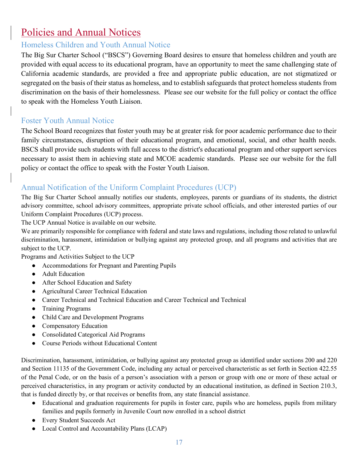# Policies and Annual Notices

## Homeless Children and Youth Annual Notice

The Big Sur Charter School ("BSCS") Governing Board desires to ensure that homeless children and youth are provided with equal access to its educational program, have an opportunity to meet the same challenging state of California academic standards, are provided a free and appropriate public education, are not stigmatized or segregated on the basis of their status as homeless, and to establish safeguards that protect homeless students from discrimination on the basis of their homelessness. Please see our website for the full policy or contact the office to speak with the Homeless Youth Liaison.

### Foster Youth Annual Notice

The School Board recognizes that foster youth may be at greater risk for poor academic performance due to their family circumstances, disruption of their educational program, and emotional, social, and other health needs. BSCS shall provide such students with full access to the district's educational program and other support services necessary to assist them in achieving state and MCOE academic standards. Please see our website for the full policy or contact the office to speak with the Foster Youth Liaison.

### Annual Notification of the Uniform Complaint Procedures (UCP)

The Big Sur Charter School annually notifies our students, employees, parents or guardians of its students, the district advisory committee, school advisory committees, appropriate private school officials, and other interested parties of our Uniform Complaint Procedures (UCP) process.

The UCP Annual Notice is available on our website.

We are primarily responsible for compliance with federal and state laws and regulations, including those related to unlawful discrimination, harassment, intimidation or bullying against any protected group, and all programs and activities that are subject to the UCP.

Programs and Activities Subject to the UCP

- Accommodations for Pregnant and Parenting Pupils
- Adult Education
- After School Education and Safety
- Agricultural Career Technical Education
- Career Technical and Technical Education and Career Technical and Technical
- Training Programs
- Child Care and Development Programs
- Compensatory Education
- Consolidated Categorical Aid Programs
- Course Periods without Educational Content

Discrimination, harassment, intimidation, or bullying against any protected group as identified under sections 200 and 220 and Section 11135 of the Government Code, including any actual or perceived characteristic as set forth in Section 422.55 of the Penal Code, or on the basis of a person's association with a person or group with one or more of these actual or perceived characteristics, in any program or activity conducted by an educational institution, as defined in Section 210.3, that is funded directly by, or that receives or benefits from, any state financial assistance.

- Educational and graduation requirements for pupils in foster care, pupils who are homeless, pupils from military families and pupils formerly in Juvenile Court now enrolled in a school district
- Every Student Succeeds Act
- Local Control and Accountability Plans (LCAP)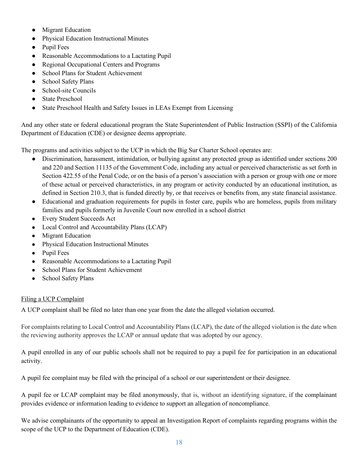- Migrant Education
- **Physical Education Instructional Minutes**
- Pupil Fees
- Reasonable Accommodations to a Lactating Pupil
- Regional Occupational Centers and Programs
- School Plans for Student Achievement
- School Safety Plans
- School-site Councils
- **State Preschool**
- State Preschool Health and Safety Issues in LEAs Exempt from Licensing

And any other state or federal educational program the State Superintendent of Public Instruction (SSPI) of the California Department of Education (CDE) or designee deems appropriate.

The programs and activities subject to the UCP in which the Big Sur Charter School operates are:

- Discrimination, harassment, intimidation, or bullying against any protected group as identified under sections 200 and 220 and Section 11135 of the Government Code, including any actual or perceived characteristic as set forth in Section 422.55 of the Penal Code, or on the basis of a person's association with a person or group with one or more of these actual or perceived characteristics, in any program or activity conducted by an educational institution, as defined in Section 210.3, that is funded directly by, or that receives or benefits from, any state financial assistance.
- Educational and graduation requirements for pupils in foster care, pupils who are homeless, pupils from military families and pupils formerly in Juvenile Court now enrolled in a school district
- Every Student Succeeds Act
- Local Control and Accountability Plans (LCAP)
- Migrant Education
- Physical Education Instructional Minutes
- Pupil Fees
- Reasonable Accommodations to a Lactating Pupil
- School Plans for Student Achievement
- School Safety Plans

#### Filing a UCP Complaint

A UCP complaint shall be filed no later than one year from the date the alleged violation occurred.

For complaints relating to Local Control and Accountability Plans (LCAP), the date of the alleged violation is the date when the reviewing authority approves the LCAP or annual update that was adopted by our agency.

A pupil enrolled in any of our public schools shall not be required to pay a pupil fee for participation in an educational activity.

A pupil fee complaint may be filed with the principal of a school or our superintendent or their designee.

A pupil fee or LCAP complaint may be filed anonymously, that is, without an identifying signature, if the complainant provides evidence or information leading to evidence to support an allegation of noncompliance.

We advise complainants of the opportunity to appeal an Investigation Report of complaints regarding programs within the scope of the UCP to the Department of Education (CDE).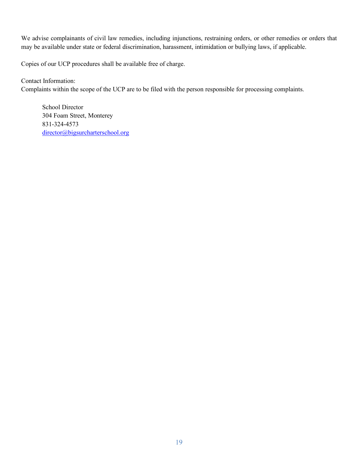We advise complainants of civil law remedies, including injunctions, restraining orders, or other remedies or orders that may be available under state or federal discrimination, harassment, intimidation or bullying laws, if applicable.

Copies of our UCP procedures shall be available free of charge.

Contact Information: Complaints within the scope of the UCP are to be filed with the person responsible for processing complaints.

School Director 304 Foam Street, Monterey 831-324-4573 director@bigsurcharterschool.org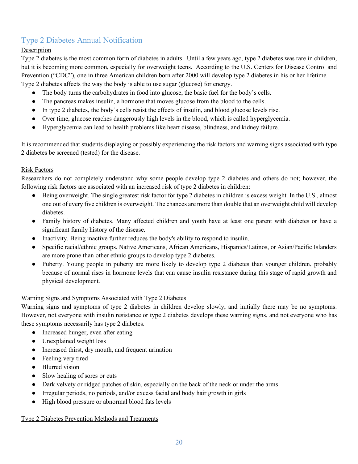### Type 2 Diabetes Annual Notification

### Description

Type 2 diabetes is the most common form of diabetes in adults. Until a few years ago, type 2 diabetes was rare in children, but it is becoming more common, especially for overweight teens. According to the U.S. Centers for Disease Control and Prevention ("CDC"), one in three American children born after 2000 will develop type 2 diabetes in his or her lifetime. Type 2 diabetes affects the way the body is able to use sugar (glucose) for energy.

- The body turns the carbohydrates in food into glucose, the basic fuel for the body's cells.
- The pancreas makes insulin, a hormone that moves glucose from the blood to the cells.
- In type 2 diabetes, the body's cells resist the effects of insulin, and blood glucose levels rise.
- Over time, glucose reaches dangerously high levels in the blood, which is called hyperglycemia.
- Hyperglycemia can lead to health problems like heart disease, blindness, and kidney failure.

It is recommended that students displaying or possibly experiencing the risk factors and warning signs associated with type 2 diabetes be screened (tested) for the disease.

#### Risk Factors

Researchers do not completely understand why some people develop type 2 diabetes and others do not; however, the following risk factors are associated with an increased risk of type 2 diabetes in children:

- Being overweight. The single greatest risk factor for type 2 diabetes in children is excess weight. In the U.S., almost one out of every five children is overweight. The chances are more than double that an overweight child will develop diabetes.
- Family history of diabetes. Many affected children and youth have at least one parent with diabetes or have a significant family history of the disease.
- Inactivity. Being inactive further reduces the body's ability to respond to insulin.
- Specific racial/ethnic groups. Native Americans, African Americans, Hispanics/Latinos, or Asian/Pacific Islanders are more prone than other ethnic groups to develop type 2 diabetes.
- Puberty. Young people in puberty are more likely to develop type 2 diabetes than younger children, probably because of normal rises in hormone levels that can cause insulin resistance during this stage of rapid growth and physical development.

#### Warning Signs and Symptoms Associated with Type 2 Diabetes

Warning signs and symptoms of type 2 diabetes in children develop slowly, and initially there may be no symptoms. However, not everyone with insulin resistance or type 2 diabetes develops these warning signs, and not everyone who has these symptoms necessarily has type 2 diabetes.

- Increased hunger, even after eating
- Unexplained weight loss
- Increased thirst, dry mouth, and frequent urination
- Feeling very tired
- Blurred vision
- Slow healing of sores or cuts
- Dark velvety or ridged patches of skin, especially on the back of the neck or under the arms
- Irregular periods, no periods, and/or excess facial and body hair growth in girls
- High blood pressure or abnormal blood fats levels

#### Type 2 Diabetes Prevention Methods and Treatments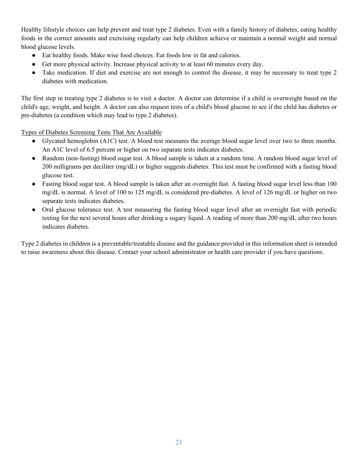Healthy lifestyle choices can help prevent and treat type 2 diabetes. Even with a family history of diabetes, eating healthy foods in the correct amounts and exercising regularly can help children achieve or maintain a normal weight and normal blood glucose levels.

- Eat healthy foods. Make wise food choices. Eat foods low in fat and calories.
- Get more physical activity. Increase physical activity to at least 60 minutes every day.
- Take medication. If diet and exercise are not enough to control the disease, it may be necessary to treat type 2 diabetes with medication.

The first step in treating type 2 diabetes is to visit a doctor. A doctor can determine if a child is overweight based on the child's age, weight, and height. A doctor can also request tests of a child's blood glucose to see if the child has diabetes or pre-diabetes (a condition which may lead to type 2 diabetes).

Types of Diabetes Screening Tests That Are Available

- Glycated hemoglobin (A1C) test. A blood test measures the average blood sugar level over two to three months. An A1C level of 6.5 percent or higher on two separate tests indicates diabetes.
- Random (non-fasting) blood sugar test. A blood sample is taken at a random time. A random blood sugar level of 200 milligrams per deciliter (mg/dL) or higher suggests diabetes. This test must be confirmed with a fasting blood glucose test.
- Fasting blood sugar test. A blood sample is taken after an overnight fast. A fasting blood sugar level less than 100 mg/dL is normal. A level of 100 to 125 mg/dL is considered pre-diabetes. A level of 126 mg/dL or higher on two separate tests indicates diabetes.
- Oral glucose tolerance test. A test measuring the fasting blood sugar level after an overnight fast with periodic testing for the next several hours after drinking a sugary liquid. A reading of more than 200 mg/dL after two hours indicates diabetes.

Type 2 diabetes in children is a preventable/treatable disease and the guidance provided in this information sheet is intended to raise awareness about this disease. Contact your school administrator or health care provider if you have questions.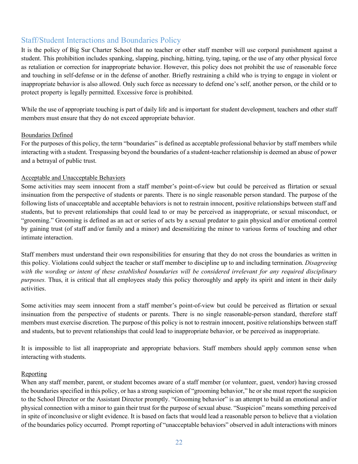### Staff/Student Interactions and Boundaries Policy

It is the policy of Big Sur Charter School that no teacher or other staff member will use corporal punishment against a student. This prohibition includes spanking, slapping, pinching, hitting, tying, taping, or the use of any other physical force as retaliation or correction for inappropriate behavior. However, this policy does not prohibit the use of reasonable force and touching in self-defense or in the defense of another. Briefly restraining a child who is trying to engage in violent or inappropriate behavior is also allowed. Only such force as necessary to defend one's self, another person, or the child or to protect property is legally permitted. Excessive force is prohibited.

While the use of appropriate touching is part of daily life and is important for student development, teachers and other staff members must ensure that they do not exceed appropriate behavior.

#### Boundaries Defined

For the purposes of this policy, the term "boundaries" is defined as acceptable professional behavior by staff members while interacting with a student. Trespassing beyond the boundaries of a student-teacher relationship is deemed an abuse of power and a betrayal of public trust.

#### Acceptable and Unacceptable Behaviors

Some activities may seem innocent from a staff member's point-of-view but could be perceived as flirtation or sexual insinuation from the perspective of students or parents. There is no single reasonable person standard. The purpose of the following lists of unacceptable and acceptable behaviors is not to restrain innocent, positive relationships between staff and students, but to prevent relationships that could lead to or may be perceived as inappropriate, or sexual misconduct, or "grooming." Grooming is defined as an act or series of acts by a sexual predator to gain physical and/or emotional control by gaining trust (of staff and/or family and a minor) and desensitizing the minor to various forms of touching and other intimate interaction.

Staff members must understand their own responsibilities for ensuring that they do not cross the boundaries as written in this policy. Violations could subject the teacher or staff member to discipline up to and including termination. *Disagreeing with the wording or intent of these established boundaries will be considered irrelevant for any required disciplinary purposes.* Thus, it is critical that all employees study this policy thoroughly and apply its spirit and intent in their daily activities.

Some activities may seem innocent from a staff member's point-of-view but could be perceived as flirtation or sexual insinuation from the perspective of students or parents. There is no single reasonable-person standard, therefore staff members must exercise discretion. The purpose of this policy is not to restrain innocent, positive relationships between staff and students, but to prevent relationships that could lead to inappropriate behavior, or be perceived as inappropriate.

It is impossible to list all inappropriate and appropriate behaviors. Staff members should apply common sense when interacting with students.

#### Reporting

When any staff member, parent, or student becomes aware of a staff member (or volunteer, guest, vendor) having crossed the boundaries specified in this policy, or has a strong suspicion of "grooming behavior," he or she must report the suspicion to the School Director or the Assistant Director promptly. "Grooming behavior" is an attempt to build an emotional and/or physical connection with a minor to gain their trust for the purpose of sexual abuse. "Suspicion" means something perceived in spite of inconclusive or slight evidence. It is based on facts that would lead a reasonable person to believe that a violation of the boundaries policy occurred. Prompt reporting of "unacceptable behaviors" observed in adult interactions with minors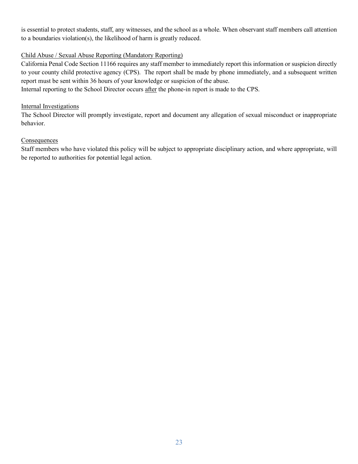is essential to protect students, staff, any witnesses, and the school as a whole. When observant staff members call attention to a boundaries violation(s), the likelihood of harm is greatly reduced.

#### Child Abuse / Sexual Abuse Reporting (Mandatory Reporting)

California Penal Code Section 11166 requires any staff member to immediately report this information or suspicion directly to your county child protective agency (CPS). The report shall be made by phone immediately, and a subsequent written report must be sent within 36 hours of your knowledge or suspicion of the abuse.

Internal reporting to the School Director occurs after the phone-in report is made to the CPS.

#### Internal Investigations

The School Director will promptly investigate, report and document any allegation of sexual misconduct or inappropriate behavior.

#### **Consequences**

Staff members who have violated this policy will be subject to appropriate disciplinary action, and where appropriate, will be reported to authorities for potential legal action.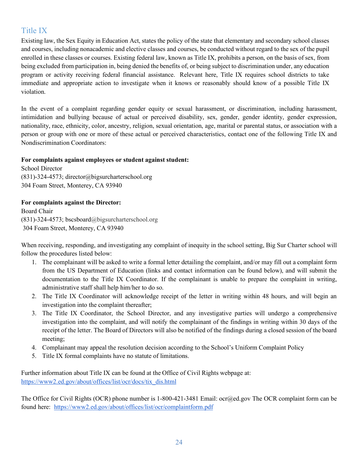### Title IX

Existing law, the Sex Equity in Education Act, states the policy of the state that elementary and secondary school classes and courses, including nonacademic and elective classes and courses, be conducted without regard to the sex of the pupil enrolled in these classes or courses. Existing federal law, known as Title IX, prohibits a person, on the basis of sex, from being excluded from participation in, being denied the benefits of, or being subject to discrimination under, any education program or activity receiving federal financial assistance. Relevant here, Title IX requires school districts to take immediate and appropriate action to investigate when it knows or reasonably should know of a possible Title IX violation.

In the event of a complaint regarding gender equity or sexual harassment, or discrimination, including harassment, intimidation and bullying because of actual or perceived disability, sex, gender, gender identity, gender expression, nationality, race, ethnicity, color, ancestry, religion, sexual orientation, age, marital or parental status, or association with a person or group with one or more of these actual or perceived characteristics, contact one of the following Title IX and Nondiscrimination Coordinators:

#### **For complaints against employees or student against student:**

School Director (831)-324-4573; director@bigsurcharterschool.org 304 Foam Street, Monterey, CA 93940

### **For complaints against the Director:**

Board Chair (831)-324-4573; bscsboard@bigsurcharterschool.org 304 Foam Street, Monterey, CA 93940

When receiving, responding, and investigating any complaint of inequity in the school setting, Big Sur Charter school will follow the procedures listed below:

- 1. The complainant will be asked to write a formal letter detailing the complaint, and/or may fill out a complaint form from the US Department of Education (links and contact information can be found below), and will submit the documentation to the Title IX Coordinator. If the complainant is unable to prepare the complaint in writing, administrative staff shall help him/her to do so.
- 2. The Title IX Coordinator will acknowledge receipt of the letter in writing within 48 hours, and will begin an investigation into the complaint thereafter;
- 3. The Title IX Coordinator, the School Director, and any investigative parties will undergo a comprehensive investigation into the complaint, and will notify the complainant of the findings in writing within 30 days of the receipt of the letter. The Board of Directors will also be notified of the findings during a closed session of the board meeting;
- 4. Complainant may appeal the resolution decision according to the School's Uniform Complaint Policy
- 5. Title IX formal complaints have no statute of limitations.

Further information about Title IX can be found at the Office of Civil Rights webpage at: https://www2.ed.gov/about/offices/list/ocr/docs/tix\_dis.html

The Office for Civil Rights (OCR) phone number is 1-800-421-3481 Email: ocr@ed.gov The OCR complaint form can be found here: https://www2.ed.gov/about/offices/list/ocr/complaintform.pdf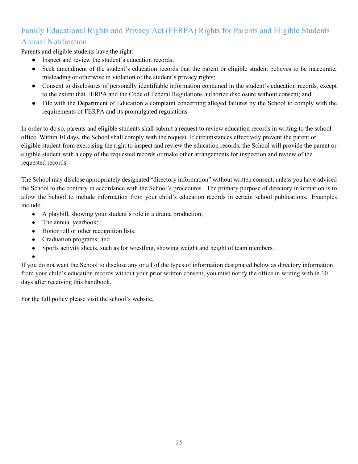### Family Educational Rights and Privacy Act (FERPA) Rights for Parents and Eligible Students Annual Notification

Parents and eligible students have the right:

- Inspect and review the student's education records;
- Seek amendment of the student's education records that the parent or eligible student believes to be inaccurate, misleading or otherwise in violation of the student's privacy rights;
- Consent to disclosures of personally identifiable information contained in the student's education records, except to the extent that FERPA and the Code of Federal Regulations authorize disclosure without consent; and
- File with the Department of Education a complaint concerning alleged failures by the School to comply with the requirements of FERPA and its promulgated regulations.

In order to do so, parents and eligible students shall submit a request to review education records in writing to the school office. Within 10 days, the School shall comply with the request. If circumstances effectively prevent the parent or eligible student from exercising the right to inspect and review the education records, the School will provide the parent or eligible student with a copy of the requested records or make other arrangements for inspection and review of the requested records.

The School may disclose appropriately designated "directory information" without written consent, unless you have advised the School to the contrary in accordance with the School's procedures. The primary purpose of directory information is to allow the School to include information from your child's education records in certain school publications. Examples include:

- A playbill, showing your student's role in a drama production;
- The annual yearbook;
- Honor roll or other recognition lists;
- Graduation programs; and
- Sports activity sheets, such as for wrestling, showing weight and height of team members.
- ●

If you do not want the School to disclose any or all of the types of information designated below as directory information from your child's education records without your prior written consent, you must notify the office in writing with in 10 days after receiving this handbook.

For the full policy please visit the school's website.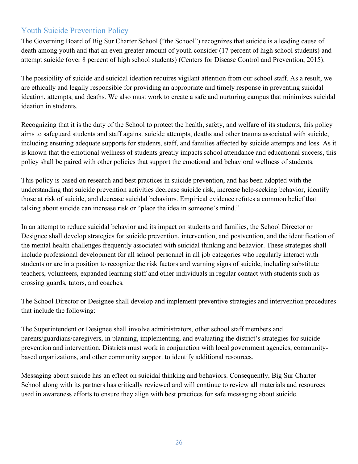### Youth Suicide Prevention Policy

The Governing Board of Big Sur Charter School ("the School") recognizes that suicide is a leading cause of death among youth and that an even greater amount of youth consider (17 percent of high school students) and attempt suicide (over 8 percent of high school students) (Centers for Disease Control and Prevention, 2015).

The possibility of suicide and suicidal ideation requires vigilant attention from our school staff. As a result, we are ethically and legally responsible for providing an appropriate and timely response in preventing suicidal ideation, attempts, and deaths. We also must work to create a safe and nurturing campus that minimizes suicidal ideation in students.

Recognizing that it is the duty of the School to protect the health, safety, and welfare of its students, this policy aims to safeguard students and staff against suicide attempts, deaths and other trauma associated with suicide, including ensuring adequate supports for students, staff, and families affected by suicide attempts and loss. As it is known that the emotional wellness of students greatly impacts school attendance and educational success, this policy shall be paired with other policies that support the emotional and behavioral wellness of students.

This policy is based on research and best practices in suicide prevention, and has been adopted with the understanding that suicide prevention activities decrease suicide risk, increase help-seeking behavior, identify those at risk of suicide, and decrease suicidal behaviors. Empirical evidence refutes a common belief that talking about suicide can increase risk or "place the idea in someone's mind."

In an attempt to reduce suicidal behavior and its impact on students and families, the School Director or Designee shall develop strategies for suicide prevention, intervention, and postvention, and the identification of the mental health challenges frequently associated with suicidal thinking and behavior. These strategies shall include professional development for all school personnel in all job categories who regularly interact with students or are in a position to recognize the risk factors and warning signs of suicide, including substitute teachers, volunteers, expanded learning staff and other individuals in regular contact with students such as crossing guards, tutors, and coaches.

The School Director or Designee shall develop and implement preventive strategies and intervention procedures that include the following:

The Superintendent or Designee shall involve administrators, other school staff members and parents/guardians/caregivers, in planning, implementing, and evaluating the district's strategies for suicide prevention and intervention. Districts must work in conjunction with local government agencies, communitybased organizations, and other community support to identify additional resources.

Messaging about suicide has an effect on suicidal thinking and behaviors. Consequently, Big Sur Charter School along with its partners has critically reviewed and will continue to review all materials and resources used in awareness efforts to ensure they align with best practices for safe messaging about suicide.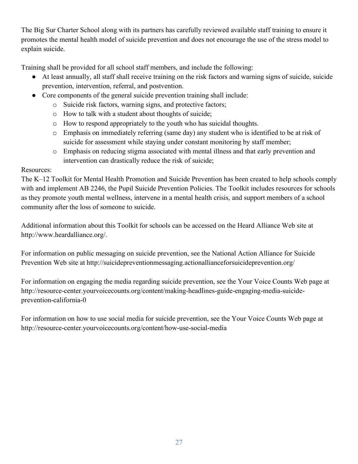The Big Sur Charter School along with its partners has carefully reviewed available staff training to ensure it promotes the mental health model of suicide prevention and does not encourage the use of the stress model to explain suicide.

Training shall be provided for all school staff members, and include the following:

- At least annually, all staff shall receive training on the risk factors and warning signs of suicide, suicide prevention, intervention, referral, and postvention.
- Core components of the general suicide prevention training shall include:
	- o Suicide risk factors, warning signs, and protective factors;
	- o How to talk with a student about thoughts of suicide;
	- o How to respond appropriately to the youth who has suicidal thoughts.
	- o Emphasis on immediately referring (same day) any student who is identified to be at risk of suicide for assessment while staying under constant monitoring by staff member;
	- o Emphasis on reducing stigma associated with mental illness and that early prevention and intervention can drastically reduce the risk of suicide;

### Resources:

The K–12 Toolkit for Mental Health Promotion and Suicide Prevention has been created to help schools comply with and implement AB 2246, the Pupil Suicide Prevention Policies. The Toolkit includes resources for schools as they promote youth mental wellness, intervene in a mental health crisis, and support members of a school community after the loss of someone to suicide.

Additional information about this Toolkit for schools can be accessed on the Heard Alliance Web site at http://www.heardalliance.org/.

For information on public messaging on suicide prevention, see the National Action Alliance for Suicide Prevention Web site at http://suicidepreventionmessaging.actionallianceforsuicideprevention.org/

For information on engaging the media regarding suicide prevention, see the Your Voice Counts Web page at http://resource-center.yourvoicecounts.org/content/making-headlines-guide-engaging-media-suicideprevention-california-0

For information on how to use social media for suicide prevention, see the Your Voice Counts Web page at http://resource-center.yourvoicecounts.org/content/how-use-social-media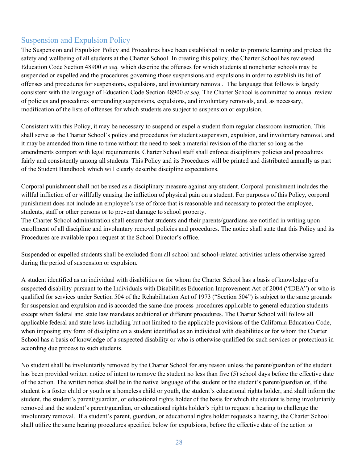### Suspension and Expulsion Policy

The Suspension and Expulsion Policy and Procedures have been established in order to promote learning and protect the safety and wellbeing of all students at the Charter School. In creating this policy, the Charter School has reviewed Education Code Section 48900 *et seq.* which describe the offenses for which students at noncharter schools may be suspended or expelled and the procedures governing those suspensions and expulsions in order to establish its list of offenses and procedures for suspensions, expulsions, and involuntary removal. The language that follows is largely consistent with the language of Education Code Section 48900 *et seq.* The Charter School is committed to annual review of policies and procedures surrounding suspensions, expulsions, and involuntary removals, and, as necessary, modification of the lists of offenses for which students are subject to suspension or expulsion.

Consistent with this Policy, it may be necessary to suspend or expel a student from regular classroom instruction. This shall serve as the Charter School's policy and procedures for student suspension, expulsion, and involuntary removal, and it may be amended from time to time without the need to seek a material revision of the charter so long as the amendments comport with legal requirements. Charter School staff shall enforce disciplinary policies and procedures fairly and consistently among all students. This Policy and its Procedures will be printed and distributed annually as part of the Student Handbook which will clearly describe discipline expectations.

Corporal punishment shall not be used as a disciplinary measure against any student. Corporal punishment includes the willful infliction of or willfully causing the infliction of physical pain on a student. For purposes of this Policy, corporal punishment does not include an employee's use of force that is reasonable and necessary to protect the employee, students, staff or other persons or to prevent damage to school property.

The Charter School administration shall ensure that students and their parents/guardians are notified in writing upon enrollment of all discipline and involuntary removal policies and procedures. The notice shall state that this Policy and its Procedures are available upon request at the School Director's office.

Suspended or expelled students shall be excluded from all school and school-related activities unless otherwise agreed during the period of suspension or expulsion.

A student identified as an individual with disabilities or for whom the Charter School has a basis of knowledge of a suspected disability pursuant to the Individuals with Disabilities Education Improvement Act of 2004 ("IDEA") or who is qualified for services under Section 504 of the Rehabilitation Act of 1973 ("Section 504") is subject to the same grounds for suspension and expulsion and is accorded the same due process procedures applicable to general education students except when federal and state law mandates additional or different procedures. The Charter School will follow all applicable federal and state laws including but not limited to the applicable provisions of the California Education Code, when imposing any form of discipline on a student identified as an individual with disabilities or for whom the Charter School has a basis of knowledge of a suspected disability or who is otherwise qualified for such services or protections in according due process to such students.

No student shall be involuntarily removed by the Charter School for any reason unless the parent/guardian of the student has been provided written notice of intent to remove the student no less than five (5) school days before the effective date of the action. The written notice shall be in the native language of the student or the student's parent/guardian or, if the student is a foster child or youth or a homeless child or youth, the student's educational rights holder, and shall inform the student, the student's parent/guardian, or educational rights holder of the basis for which the student is being involuntarily removed and the student's parent/guardian, or educational rights holder's right to request a hearing to challenge the involuntary removal. If a student's parent, guardian, or educational rights holder requests a hearing, the Charter School shall utilize the same hearing procedures specified below for expulsions, before the effective date of the action to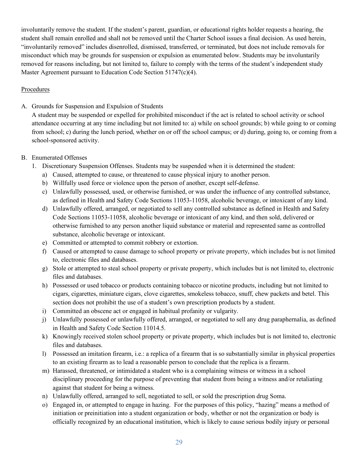involuntarily remove the student. If the student's parent, guardian, or educational rights holder requests a hearing, the student shall remain enrolled and shall not be removed until the Charter School issues a final decision. As used herein, "involuntarily removed" includes disenrolled, dismissed, transferred, or terminated, but does not include removals for misconduct which may be grounds for suspension or expulsion as enumerated below. Students may be involuntarily removed for reasons including, but not limited to, failure to comply with the terms of the student's independent study Master Agreement pursuant to Education Code Section 51747(c)(4).

#### Procedures

A. Grounds for Suspension and Expulsion of Students

A student may be suspended or expelled for prohibited misconduct if the act is related to school activity or school attendance occurring at any time including but not limited to: a) while on school grounds; b) while going to or coming from school; c) during the lunch period, whether on or off the school campus; or d) during, going to, or coming from a school-sponsored activity.

- B. Enumerated Offenses
	- 1. Discretionary Suspension Offenses. Students may be suspended when it is determined the student:
		- a) Caused, attempted to cause, or threatened to cause physical injury to another person.
		- b) Willfully used force or violence upon the person of another, except self-defense.
		- c) Unlawfully possessed, used, or otherwise furnished, or was under the influence of any controlled substance, as defined in Health and Safety Code Sections 11053-11058, alcoholic beverage, or intoxicant of any kind.
		- d) Unlawfully offered, arranged, or negotiated to sell any controlled substance as defined in Health and Safety Code Sections 11053-11058, alcoholic beverage or intoxicant of any kind, and then sold, delivered or otherwise furnished to any person another liquid substance or material and represented same as controlled substance, alcoholic beverage or intoxicant.
		- e) Committed or attempted to commit robbery or extortion.
		- f) Caused or attempted to cause damage to school property or private property, which includes but is not limited to, electronic files and databases.
		- g) Stole or attempted to steal school property or private property, which includes but is not limited to, electronic files and databases.
		- h) Possessed or used tobacco or products containing tobacco or nicotine products, including but not limited to cigars, cigarettes, miniature cigars, clove cigarettes, smokeless tobacco, snuff, chew packets and betel. This section does not prohibit the use of a student's own prescription products by a student.
		- i) Committed an obscene act or engaged in habitual profanity or vulgarity.
		- j) Unlawfully possessed or unlawfully offered, arranged, or negotiated to sell any drug paraphernalia, as defined in Health and Safety Code Section 11014.5.
		- k) Knowingly received stolen school property or private property, which includes but is not limited to, electronic files and databases.
		- l) Possessed an imitation firearm, i.e.: a replica of a firearm that is so substantially similar in physical properties to an existing firearm as to lead a reasonable person to conclude that the replica is a firearm.
		- m) Harassed, threatened, or intimidated a student who is a complaining witness or witness in a school disciplinary proceeding for the purpose of preventing that student from being a witness and/or retaliating against that student for being a witness.
		- n) Unlawfully offered, arranged to sell, negotiated to sell, or sold the prescription drug Soma.
		- o) Engaged in, or attempted to engage in hazing. For the purposes of this policy, "hazing" means a method of initiation or preinitiation into a student organization or body, whether or not the organization or body is officially recognized by an educational institution, which is likely to cause serious bodily injury or personal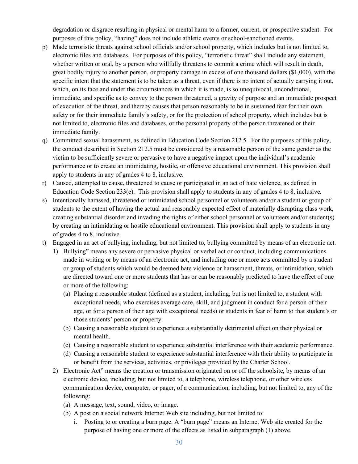degradation or disgrace resulting in physical or mental harm to a former, current, or prospective student. For purposes of this policy, "hazing" does not include athletic events or school-sanctioned events.

- p) Made terroristic threats against school officials and/or school property, which includes but is not limited to, electronic files and databases. For purposes of this policy, "terroristic threat" shall include any statement, whether written or oral, by a person who willfully threatens to commit a crime which will result in death, great bodily injury to another person, or property damage in excess of one thousand dollars (\$1,000), with the specific intent that the statement is to be taken as a threat, even if there is no intent of actually carrying it out, which, on its face and under the circumstances in which it is made, is so unequivocal, unconditional, immediate, and specific as to convey to the person threatened, a gravity of purpose and an immediate prospect of execution of the threat, and thereby causes that person reasonably to be in sustained fear for their own safety or for their immediate family's safety, or for the protection of school property, which includes but is not limited to, electronic files and databases, or the personal property of the person threatened or their immediate family.
- q) Committed sexual harassment, as defined in Education Code Section 212.5. For the purposes of this policy, the conduct described in Section 212.5 must be considered by a reasonable person of the same gender as the victim to be sufficiently severe or pervasive to have a negative impact upon the individual's academic performance or to create an intimidating, hostile, or offensive educational environment. This provision shall apply to students in any of grades 4 to 8, inclusive.
- r) Caused, attempted to cause, threatened to cause or participated in an act of hate violence, as defined in Education Code Section  $233(e)$ . This provision shall apply to students in any of grades 4 to 8, inclusive.
- s) Intentionally harassed, threatened or intimidated school personnel or volunteers and/or a student or group of students to the extent of having the actual and reasonably expected effect of materially disrupting class work, creating substantial disorder and invading the rights of either school personnel or volunteers and/or student(s) by creating an intimidating or hostile educational environment. This provision shall apply to students in any of grades 4 to 8, inclusive.
- t) Engaged in an act of bullying, including, but not limited to, bullying committed by means of an electronic act.
	- 1) Bullying" means any severe or pervasive physical or verbal act or conduct, including communications made in writing or by means of an electronic act, and including one or more acts committed by a student or group of students which would be deemed hate violence or harassment, threats, or intimidation, which are directed toward one or more students that has or can be reasonably predicted to have the effect of one or more of the following:
		- (a) Placing a reasonable student (defined as a student, including, but is not limited to, a student with exceptional needs, who exercises average care, skill, and judgment in conduct for a person of their age, or for a person of their age with exceptional needs) or students in fear of harm to that student's or those students' person or property.
		- (b) Causing a reasonable student to experience a substantially detrimental effect on their physical or mental health.
		- (c) Causing a reasonable student to experience substantial interference with their academic performance.
		- (d) Causing a reasonable student to experience substantial interference with their ability to participate in or benefit from the services, activities, or privileges provided by the Charter School.
	- 2) Electronic Act" means the creation or transmission originated on or off the schoolsite, by means of an electronic device, including, but not limited to, a telephone, wireless telephone, or other wireless communication device, computer, or pager, of a communication, including, but not limited to, any of the following:
		- (a) A message, text, sound, video, or image.
		- (b) A post on a social network Internet Web site including, but not limited to:
			- i. Posting to or creating a burn page. A "burn page" means an Internet Web site created for the purpose of having one or more of the effects as listed in subparagraph (1) above.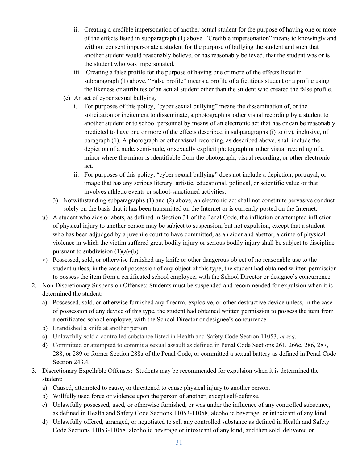- ii. Creating a credible impersonation of another actual student for the purpose of having one or more of the effects listed in subparagraph (1) above. "Credible impersonation" means to knowingly and without consent impersonate a student for the purpose of bullying the student and such that another student would reasonably believe, or has reasonably believed, that the student was or is the student who was impersonated.
- iii. Creating a false profile for the purpose of having one or more of the effects listed in subparagraph (1) above. "False profile" means a profile of a fictitious student or a profile using the likeness or attributes of an actual student other than the student who created the false profile.
- (c) An act of cyber sexual bullying.
	- i. For purposes of this policy, "cyber sexual bullying" means the dissemination of, or the solicitation or incitement to disseminate, a photograph or other visual recording by a student to another student or to school personnel by means of an electronic act that has or can be reasonably predicted to have one or more of the effects described in subparagraphs (i) to (iv), inclusive, of paragraph (1). A photograph or other visual recording, as described above, shall include the depiction of a nude, semi-nude, or sexually explicit photograph or other visual recording of a minor where the minor is identifiable from the photograph, visual recording, or other electronic act.
	- ii. For purposes of this policy, "cyber sexual bullying" does not include a depiction, portrayal, or image that has any serious literary, artistic, educational, political, or scientific value or that involves athletic events or school-sanctioned activities.
- 3) Notwithstanding subparagraphs (1) and (2) above, an electronic act shall not constitute pervasive conduct solely on the basis that it has been transmitted on the Internet or is currently posted on the Internet.
- u) A student who aids or abets, as defined in Section 31 of the Penal Code, the infliction or attempted infliction of physical injury to another person may be subject to suspension, but not expulsion, except that a student who has been adjudged by a juvenile court to have committed, as an aider and abettor, a crime of physical violence in which the victim suffered great bodily injury or serious bodily injury shall be subject to discipline pursuant to subdivision  $(1)(a)-(b)$ .
- v) Possessed, sold, or otherwise furnished any knife or other dangerous object of no reasonable use to the student unless, in the case of possession of any object of this type, the student had obtained written permission to possess the item from a certificated school employee, with the School Director or designee's concurrence.
- 2. Non-Discretionary Suspension Offenses: Students must be suspended and recommended for expulsion when it is determined the student:
	- a) Possessed, sold, or otherwise furnished any firearm, explosive, or other destructive device unless, in the case of possession of any device of this type, the student had obtained written permission to possess the item from a certificated school employee, with the School Director or designee's concurrence.
	- b) Brandished a knife at another person.
	- c) Unlawfully sold a controlled substance listed in Health and Safety Code Section 11053, *et seq*.
	- d) Committed or attempted to commit a sexual assault as defined in Penal Code Sections 261, 266c, 286, 287, 288, or 289 or former Section 288a of the Penal Code, or committed a sexual battery as defined in Penal Code Section 243.4.
- 3. Discretionary Expellable Offenses: Students may be recommended for expulsion when it is determined the student:
	- a) Caused, attempted to cause, or threatened to cause physical injury to another person.
	- b) Willfully used force or violence upon the person of another, except self-defense.
	- c) Unlawfully possessed, used, or otherwise furnished, or was under the influence of any controlled substance, as defined in Health and Safety Code Sections 11053-11058, alcoholic beverage, or intoxicant of any kind.
	- d) Unlawfully offered, arranged, or negotiated to sell any controlled substance as defined in Health and Safety Code Sections 11053-11058, alcoholic beverage or intoxicant of any kind, and then sold, delivered or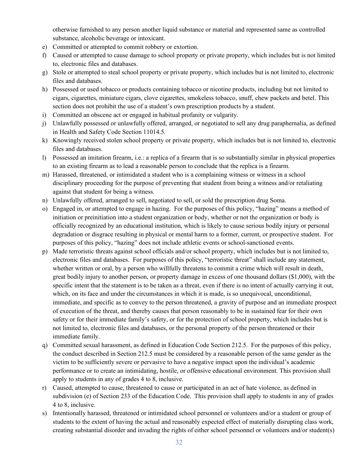otherwise furnished to any person another liquid substance or material and represented same as controlled substance, alcoholic beverage or intoxicant.

- e) Committed or attempted to commit robbery or extortion.
- f) Caused or attempted to cause damage to school property or private property, which includes but is not limited to, electronic files and databases.
- g) Stole or attempted to steal school property or private property, which includes but is not limited to, electronic files and databases.
- h) Possessed or used tobacco or products containing tobacco or nicotine products, including but not limited to cigars, cigarettes, miniature cigars, clove cigarettes, smokeless tobacco, snuff, chew packets and betel. This section does not prohibit the use of a student's own prescription products by a student.
- i) Committed an obscene act or engaged in habitual profanity or vulgarity.
- j) Unlawfully possessed or unlawfully offered, arranged, or negotiated to sell any drug paraphernalia, as defined in Health and Safety Code Section 11014.5.
- k) Knowingly received stolen school property or private property, which includes but is not limited to, electronic files and databases.
- l) Possessed an imitation firearm, i.e.: a replica of a firearm that is so substantially similar in physical properties to an existing firearm as to lead a reasonable person to conclude that the replica is a firearm.
- m) Harassed, threatened, or intimidated a student who is a complaining witness or witness in a school disciplinary proceeding for the purpose of preventing that student from being a witness and/or retaliating against that student for being a witness.
- n) Unlawfully offered, arranged to sell, negotiated to sell, or sold the prescription drug Soma.
- o) Engaged in, or attempted to engage in hazing. For the purposes of this policy, "hazing" means a method of initiation or preinitiation into a student organization or body, whether or not the organization or body is officially recognized by an educational institution, which is likely to cause serious bodily injury or personal degradation or disgrace resulting in physical or mental harm to a former, current, or prospective student. For purposes of this policy, "hazing" does not include athletic events or school-sanctioned events.
- p) Made terroristic threats against school officials and/or school property, which includes but is not limited to, electronic files and databases. For purposes of this policy, "terroristic threat" shall include any statement, whether written or oral, by a person who willfully threatens to commit a crime which will result in death, great bodily injury to another person, or property damage in excess of one thousand dollars (\$1,000), with the specific intent that the statement is to be taken as a threat, even if there is no intent of actually carrying it out, which, on its face and under the circumstances in which it is made, is so unequivocal, unconditional, immediate, and specific as to convey to the person threatened, a gravity of purpose and an immediate prospect of execution of the threat, and thereby causes that person reasonably to be in sustained fear for their own safety or for their immediate family's safety, or for the protection of school property, which includes but is not limited to, electronic files and databases, or the personal property of the person threatened or their immediate family.
- q) Committed sexual harassment, as defined in Education Code Section 212.5. For the purposes of this policy, the conduct described in Section 212.5 must be considered by a reasonable person of the same gender as the victim to be sufficiently severe or pervasive to have a negative impact upon the individual's academic performance or to create an intimidating, hostile, or offensive educational environment. This provision shall apply to students in any of grades 4 to 8, inclusive.
- r) Caused, attempted to cause, threatened to cause or participated in an act of hate violence, as defined in subdivision (e) of Section 233 of the Education Code. This provision shall apply to students in any of grades 4 to 8, inclusive.
- s) Intentionally harassed, threatened or intimidated school personnel or volunteers and/or a student or group of students to the extent of having the actual and reasonably expected effect of materially disrupting class work, creating substantial disorder and invading the rights of either school personnel or volunteers and/or student(s)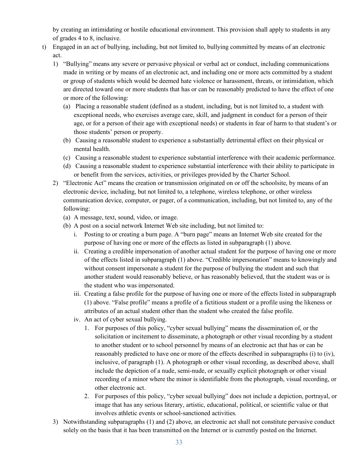by creating an intimidating or hostile educational environment. This provision shall apply to students in any of grades 4 to 8, inclusive.

- t) Engaged in an act of bullying, including, but not limited to, bullying committed by means of an electronic act.
	- 1) "Bullying" means any severe or pervasive physical or verbal act or conduct, including communications made in writing or by means of an electronic act, and including one or more acts committed by a student or group of students which would be deemed hate violence or harassment, threats, or intimidation, which are directed toward one or more students that has or can be reasonably predicted to have the effect of one or more of the following:
		- (a) Placing a reasonable student (defined as a student, including, but is not limited to, a student with exceptional needs, who exercises average care, skill, and judgment in conduct for a person of their age, or for a person of their age with exceptional needs) or students in fear of harm to that student's or those students' person or property.
		- (b) Causing a reasonable student to experience a substantially detrimental effect on their physical or mental health.
		- (c) Causing a reasonable student to experience substantial interference with their academic performance.
		- (d) Causing a reasonable student to experience substantial interference with their ability to participate in or benefit from the services, activities, or privileges provided by the Charter School.
	- 2) "Electronic Act" means the creation or transmission originated on or off the schoolsite, by means of an electronic device, including, but not limited to, a telephone, wireless telephone, or other wireless communication device, computer, or pager, of a communication, including, but not limited to, any of the following:
		- (a) A message, text, sound, video, or image.
		- (b) A post on a social network Internet Web site including, but not limited to:
			- i. Posting to or creating a burn page. A "burn page" means an Internet Web site created for the purpose of having one or more of the effects as listed in subparagraph (1) above.
			- ii. Creating a credible impersonation of another actual student for the purpose of having one or more of the effects listed in subparagraph (1) above. "Credible impersonation" means to knowingly and without consent impersonate a student for the purpose of bullying the student and such that another student would reasonably believe, or has reasonably believed, that the student was or is the student who was impersonated.
			- iii. Creating a false profile for the purpose of having one or more of the effects listed in subparagraph (1) above. "False profile" means a profile of a fictitious student or a profile using the likeness or attributes of an actual student other than the student who created the false profile.
			- iv. An act of cyber sexual bullying.
				- 1. For purposes of this policy, "cyber sexual bullying" means the dissemination of, or the solicitation or incitement to disseminate, a photograph or other visual recording by a student to another student or to school personnel by means of an electronic act that has or can be reasonably predicted to have one or more of the effects described in subparagraphs (i) to (iv), inclusive, of paragraph (1). A photograph or other visual recording, as described above, shall include the depiction of a nude, semi-nude, or sexually explicit photograph or other visual recording of a minor where the minor is identifiable from the photograph, visual recording, or other electronic act.
				- 2. For purposes of this policy, "cyber sexual bullying" does not include a depiction, portrayal, or image that has any serious literary, artistic, educational, political, or scientific value or that involves athletic events or school-sanctioned activities.
	- 3) Notwithstanding subparagraphs (1) and (2) above, an electronic act shall not constitute pervasive conduct solely on the basis that it has been transmitted on the Internet or is currently posted on the Internet.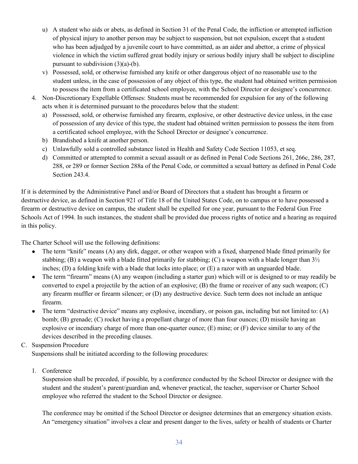- u) A student who aids or abets, as defined in Section 31 of the Penal Code, the infliction or attempted infliction of physical injury to another person may be subject to suspension, but not expulsion, except that a student who has been adjudged by a juvenile court to have committed, as an aider and abettor, a crime of physical violence in which the victim suffered great bodily injury or serious bodily injury shall be subject to discipline pursuant to subdivision  $(3)(a)-(b)$ .
- v) Possessed, sold, or otherwise furnished any knife or other dangerous object of no reasonable use to the student unless, in the case of possession of any object of this type, the student had obtained written permission to possess the item from a certificated school employee, with the School Director or designee's concurrence.
- 4. Non-Discretionary Expellable Offenses: Students must be recommended for expulsion for any of the following acts when it is determined pursuant to the procedures below that the student:
	- a) Possessed, sold, or otherwise furnished any firearm, explosive, or other destructive device unless, in the case of possession of any device of this type, the student had obtained written permission to possess the item from a certificated school employee, with the School Director or designee's concurrence.
	- b) Brandished a knife at another person.
	- c) Unlawfully sold a controlled substance listed in Health and Safety Code Section 11053, et seq.
	- d) Committed or attempted to commit a sexual assault or as defined in Penal Code Sections 261, 266c, 286, 287, 288, or 289 or former Section 288a of the Penal Code, or committed a sexual battery as defined in Penal Code Section 243.4.

If it is determined by the Administrative Panel and/or Board of Directors that a student has brought a firearm or destructive device, as defined in Section 921 of Title 18 of the United States Code, on to campus or to have possessed a firearm or destructive device on campus, the student shall be expelled for one year, pursuant to the Federal Gun Free Schools Act of 1994. In such instances, the student shall be provided due process rights of notice and a hearing as required in this policy.

The Charter School will use the following definitions:

- The term "knife" means (A) any dirk, dagger, or other weapon with a fixed, sharpened blade fitted primarily for stabbing; (B) a weapon with a blade fitted primarily for stabbing; (C) a weapon with a blade longer than  $3\frac{1}{2}$ inches; (D) a folding knife with a blade that locks into place; or (E) a razor with an unguarded blade.
- The term "firearm" means (A) any weapon (including a starter gun) which will or is designed to or may readily be converted to expel a projectile by the action of an explosive; (B) the frame or receiver of any such weapon; (C) any firearm muffler or firearm silencer; or (D) any destructive device. Such term does not include an antique firearm.
- The term "destructive device" means any explosive, incendiary, or poison gas, including but not limited to:  $(A)$ bomb; (B) grenade; (C) rocket having a propellant charge of more than four ounces; (D) missile having an explosive or incendiary charge of more than one-quarter ounce; (E) mine; or (F) device similar to any of the devices described in the preceding clauses.

### C. Suspension Procedure

Suspensions shall be initiated according to the following procedures:

1. Conference

Suspension shall be preceded, if possible, by a conference conducted by the School Director or designee with the student and the student's parent/guardian and, whenever practical, the teacher, supervisor or Charter School employee who referred the student to the School Director or designee.

The conference may be omitted if the School Director or designee determines that an emergency situation exists. An "emergency situation" involves a clear and present danger to the lives, safety or health of students or Charter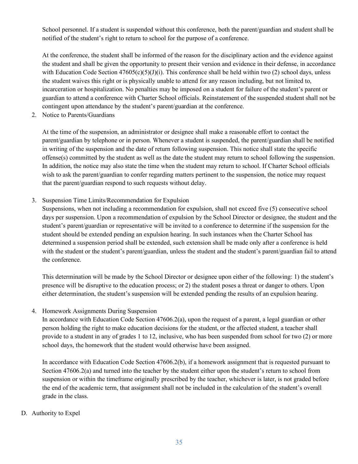School personnel. If a student is suspended without this conference, both the parent/guardian and student shall be notified of the student's right to return to school for the purpose of a conference.

At the conference, the student shall be informed of the reason for the disciplinary action and the evidence against the student and shall be given the opportunity to present their version and evidence in their defense, in accordance with Education Code Section  $47605(c)(5)(J)(i)$ . This conference shall be held within two (2) school days, unless the student waives this right or is physically unable to attend for any reason including, but not limited to, incarceration or hospitalization. No penalties may be imposed on a student for failure of the student's parent or guardian to attend a conference with Charter School officials. Reinstatement of the suspended student shall not be contingent upon attendance by the student's parent/guardian at the conference.

2. Notice to Parents/Guardians

At the time of the suspension, an administrator or designee shall make a reasonable effort to contact the parent/guardian by telephone or in person. Whenever a student is suspended, the parent/guardian shall be notified in writing of the suspension and the date of return following suspension. This notice shall state the specific offense(s) committed by the student as well as the date the student may return to school following the suspension. In addition, the notice may also state the time when the student may return to school. If Charter School officials wish to ask the parent/guardian to confer regarding matters pertinent to the suspension, the notice may request that the parent/guardian respond to such requests without delay.

3. Suspension Time Limits/Recommendation for Expulsion

Suspensions, when not including a recommendation for expulsion, shall not exceed five (5) consecutive school days per suspension. Upon a recommendation of expulsion by the School Director or designee, the student and the student's parent/guardian or representative will be invited to a conference to determine if the suspension for the student should be extended pending an expulsion hearing. In such instances when the Charter School has determined a suspension period shall be extended, such extension shall be made only after a conference is held with the student or the student's parent/guardian, unless the student and the student's parent/guardian fail to attend the conference.

This determination will be made by the School Director or designee upon either of the following: 1) the student's presence will be disruptive to the education process; or 2) the student poses a threat or danger to others. Upon either determination, the student's suspension will be extended pending the results of an expulsion hearing.

4. Homework Assignments During Suspension

In accordance with Education Code Section 47606.2(a), upon the request of a parent, a legal guardian or other person holding the right to make education decisions for the student, or the affected student, a teacher shall provide to a student in any of grades 1 to 12, inclusive, who has been suspended from school for two (2) or more school days, the homework that the student would otherwise have been assigned.

In accordance with Education Code Section 47606.2(b), if a homework assignment that is requested pursuant to Section 47606.2(a) and turned into the teacher by the student either upon the student's return to school from suspension or within the timeframe originally prescribed by the teacher, whichever is later, is not graded before the end of the academic term, that assignment shall not be included in the calculation of the student's overall grade in the class.

D. Authority to Expel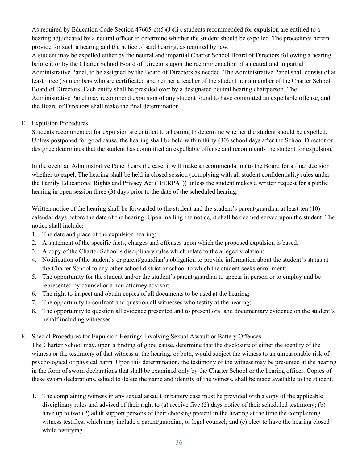As required by Education Code Section  $47605(c)(5)(J)(ii)$ , students recommended for expulsion are entitled to a hearing adjudicated by a neutral officer to determine whether the student should be expelled. The procedures herein provide for such a hearing and the notice of said hearing, as required by law.

A student may be expelled either by the neutral and impartial Charter School Board of Directors following a hearing before it or by the Charter School Board of Directors upon the recommendation of a neutral and impartial Administrative Panel, to be assigned by the Board of Directors as needed. The Administrative Panel shall consist of at least three (3) members who are certificated and neither a teacher of the student nor a member of the Charter School Board of Directors. Each entity shall be presided over by a designated neutral hearing chairperson. The Administrative Panel may recommend expulsion of any student found to have committed an expellable offense, and the Board of Directors shall make the final determination.

### E. Expulsion Procedures

Students recommended for expulsion are entitled to a hearing to determine whether the student should be expelled. Unless postponed for good cause, the hearing shall be held within thirty (30) school days after the School Director or designee determines that the student has committed an expellable offense and recommends the student for expulsion.

In the event an Administrative Panel hears the case, it will make a recommendation to the Board for a final decision whether to expel. The hearing shall be held in closed session (complying with all student confidentiality rules under the Family Educational Rights and Privacy Act ("FERPA")) unless the student makes a written request for a public hearing in open session three (3) days prior to the date of the scheduled hearing.

Written notice of the hearing shall be forwarded to the student and the student's parent/guardian at least ten (10) calendar days before the date of the hearing. Upon mailing the notice, it shall be deemed served upon the student. The notice shall include:

- 1. The date and place of the expulsion hearing;
- 2. A statement of the specific facts, charges and offenses upon which the proposed expulsion is based;
- 3. A copy of the Charter School's disciplinary rules which relate to the alleged violation;
- 4. Notification of the student's or parent/guardian's obligation to provide information about the student's status at the Charter School to any other school district or school to which the student seeks enrollment;
- 5. The opportunity for the student and/or the student's parent/guardian to appear in person or to employ and be represented by counsel or a non-attorney advisor;
- 6. The right to inspect and obtain copies of all documents to be used at the hearing;
- 7. The opportunity to confront and question all witnesses who testify at the hearing;
- 8. The opportunity to question all evidence presented and to present oral and documentary evidence on the student's behalf including witnesses.
- F. Special Procedures for Expulsion Hearings Involving Sexual Assault or Battery Offenses

The Charter School may, upon a finding of good cause, determine that the disclosure of either the identity of the witness or the testimony of that witness at the hearing, or both, would subject the witness to an unreasonable risk of psychological or physical harm. Upon this determination, the testimony of the witness may be presented at the hearing in the form of sworn declarations that shall be examined only by the Charter School or the hearing officer. Copies of these sworn declarations, edited to delete the name and identity of the witness, shall be made available to the student.

1. The complaining witness in any sexual assault or battery case must be provided with a copy of the applicable disciplinary rules and advised of their right to (a) receive five (5) days notice of their scheduled testimony; (b) have up to two (2) adult support persons of their choosing present in the hearing at the time the complaining witness testifies, which may include a parent/guardian, or legal counsel; and (c) elect to have the hearing closed while testifying.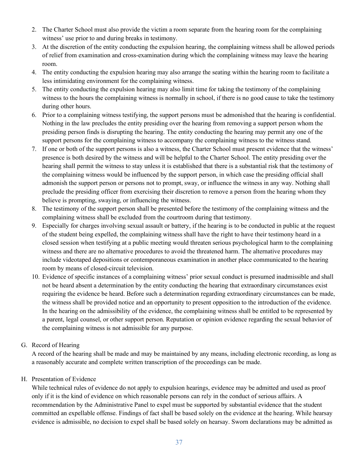- 2. The Charter School must also provide the victim a room separate from the hearing room for the complaining witness' use prior to and during breaks in testimony.
- 3. At the discretion of the entity conducting the expulsion hearing, the complaining witness shall be allowed periods of relief from examination and cross-examination during which the complaining witness may leave the hearing room.
- 4. The entity conducting the expulsion hearing may also arrange the seating within the hearing room to facilitate a less intimidating environment for the complaining witness.
- 5. The entity conducting the expulsion hearing may also limit time for taking the testimony of the complaining witness to the hours the complaining witness is normally in school, if there is no good cause to take the testimony during other hours.
- 6. Prior to a complaining witness testifying, the support persons must be admonished that the hearing is confidential. Nothing in the law precludes the entity presiding over the hearing from removing a support person whom the presiding person finds is disrupting the hearing. The entity conducting the hearing may permit any one of the support persons for the complaining witness to accompany the complaining witness to the witness stand.
- 7. If one or both of the support persons is also a witness, the Charter School must present evidence that the witness' presence is both desired by the witness and will be helpful to the Charter School. The entity presiding over the hearing shall permit the witness to stay unless it is established that there is a substantial risk that the testimony of the complaining witness would be influenced by the support person, in which case the presiding official shall admonish the support person or persons not to prompt, sway, or influence the witness in any way. Nothing shall preclude the presiding officer from exercising their discretion to remove a person from the hearing whom they believe is prompting, swaying, or influencing the witness.
- 8. The testimony of the support person shall be presented before the testimony of the complaining witness and the complaining witness shall be excluded from the courtroom during that testimony.
- 9. Especially for charges involving sexual assault or battery, if the hearing is to be conducted in public at the request of the student being expelled, the complaining witness shall have the right to have their testimony heard in a closed session when testifying at a public meeting would threaten serious psychological harm to the complaining witness and there are no alternative procedures to avoid the threatened harm. The alternative procedures may include videotaped depositions or contemporaneous examination in another place communicated to the hearing room by means of closed-circuit television.
- 10. Evidence of specific instances of a complaining witness' prior sexual conduct is presumed inadmissible and shall not be heard absent a determination by the entity conducting the hearing that extraordinary circumstances exist requiring the evidence be heard. Before such a determination regarding extraordinary circumstances can be made, the witness shall be provided notice and an opportunity to present opposition to the introduction of the evidence. In the hearing on the admissibility of the evidence, the complaining witness shall be entitled to be represented by a parent, legal counsel, or other support person. Reputation or opinion evidence regarding the sexual behavior of the complaining witness is not admissible for any purpose.
- G. Record of Hearing

A record of the hearing shall be made and may be maintained by any means, including electronic recording, as long as a reasonably accurate and complete written transcription of the proceedings can be made.

### H. Presentation of Evidence

While technical rules of evidence do not apply to expulsion hearings, evidence may be admitted and used as proof only if it is the kind of evidence on which reasonable persons can rely in the conduct of serious affairs. A recommendation by the Administrative Panel to expel must be supported by substantial evidence that the student committed an expellable offense. Findings of fact shall be based solely on the evidence at the hearing. While hearsay evidence is admissible, no decision to expel shall be based solely on hearsay. Sworn declarations may be admitted as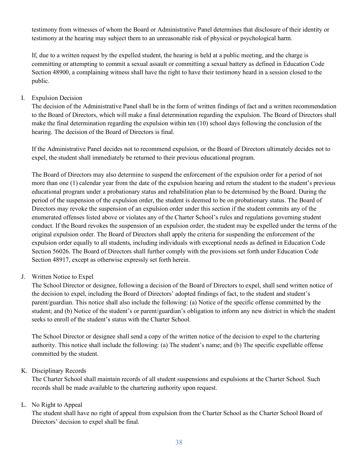testimony from witnesses of whom the Board or Administrative Panel determines that disclosure of their identity or testimony at the hearing may subject them to an unreasonable risk of physical or psychological harm.

If, due to a written request by the expelled student, the hearing is held at a public meeting, and the charge is committing or attempting to commit a sexual assault or committing a sexual battery as defined in Education Code Section 48900, a complaining witness shall have the right to have their testimony heard in a session closed to the public.

#### I. Expulsion Decision

The decision of the Administrative Panel shall be in the form of written findings of fact and a written recommendation to the Board of Directors, which will make a final determination regarding the expulsion. The Board of Directors shall make the final determination regarding the expulsion within ten (10) school days following the conclusion of the hearing. The decision of the Board of Directors is final.

If the Administrative Panel decides not to recommend expulsion, or the Board of Directors ultimately decides not to expel, the student shall immediately be returned to their previous educational program.

The Board of Directors may also determine to suspend the enforcement of the expulsion order for a period of not more than one (1) calendar year from the date of the expulsion hearing and return the student to the student's previous educational program under a probationary status and rehabilitation plan to be determined by the Board. During the period of the suspension of the expulsion order, the student is deemed to be on probationary status. The Board of Directors may revoke the suspension of an expulsion order under this section if the student commits any of the enumerated offenses listed above or violates any of the Charter School's rules and regulations governing student conduct. If the Board revokes the suspension of an expulsion order, the student may be expelled under the terms of the original expulsion order. The Board of Directors shall apply the criteria for suspending the enforcement of the expulsion order equally to all students, including individuals with exceptional needs as defined in Education Code Section 56026. The Board of Directors shall further comply with the provisions set forth under Education Code Section 48917, except as otherwise expressly set forth herein.

#### J. Written Notice to Expel

The School Director or designee, following a decision of the Board of Directors to expel, shall send written notice of the decision to expel, including the Board of Directors' adopted findings of fact, to the student and student's parent/guardian. This notice shall also include the following: (a) Notice of the specific offense committed by the student; and (b) Notice of the student's or parent/guardian's obligation to inform any new district in which the student seeks to enroll of the student's status with the Charter School.

The School Director or designee shall send a copy of the written notice of the decision to expel to the chartering authority. This notice shall include the following: (a) The student's name; and (b) The specific expellable offense committed by the student.

#### K. Disciplinary Records

The Charter School shall maintain records of all student suspensions and expulsions at the Charter School. Such records shall be made available to the chartering authority upon request.

#### L. No Right to Appeal

The student shall have no right of appeal from expulsion from the Charter School as the Charter School Board of Directors' decision to expel shall be final.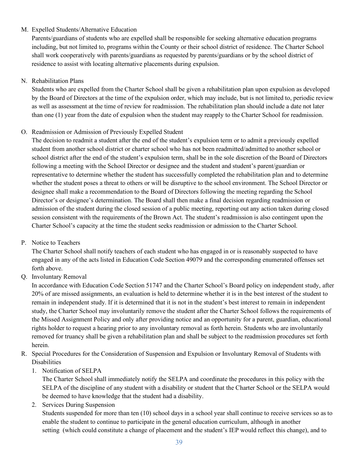### M. Expelled Students/Alternative Education

Parents/guardians of students who are expelled shall be responsible for seeking alternative education programs including, but not limited to, programs within the County or their school district of residence. The Charter School shall work cooperatively with parents/guardians as requested by parents/guardians or by the school district of residence to assist with locating alternative placements during expulsion.

#### N. Rehabilitation Plans

Students who are expelled from the Charter School shall be given a rehabilitation plan upon expulsion as developed by the Board of Directors at the time of the expulsion order, which may include, but is not limited to, periodic review as well as assessment at the time of review for readmission. The rehabilitation plan should include a date not later than one (1) year from the date of expulsion when the student may reapply to the Charter School for readmission.

### O. Readmission or Admission of Previously Expelled Student

The decision to readmit a student after the end of the student's expulsion term or to admit a previously expelled student from another school district or charter school who has not been readmitted/admitted to another school or school district after the end of the student's expulsion term, shall be in the sole discretion of the Board of Directors following a meeting with the School Director or designee and the student and student's parent/guardian or representative to determine whether the student has successfully completed the rehabilitation plan and to determine whether the student poses a threat to others or will be disruptive to the school environment. The School Director or designee shall make a recommendation to the Board of Directors following the meeting regarding the School Director's or designee's determination. The Board shall then make a final decision regarding readmission or admission of the student during the closed session of a public meeting, reporting out any action taken during closed session consistent with the requirements of the Brown Act. The student's readmission is also contingent upon the Charter School's capacity at the time the student seeks readmission or admission to the Charter School.

#### P. Notice to Teachers

The Charter School shall notify teachers of each student who has engaged in or is reasonably suspected to have engaged in any of the acts listed in Education Code Section 49079 and the corresponding enumerated offenses set forth above.

Q. Involuntary Removal

In accordance with Education Code Section 51747 and the Charter School's Board policy on independent study, after 20% of are missed assignments, an evaluation is held to determine whether it is in the best interest of the student to remain in independent study. If it is determined that it is not in the student's best interest to remain in independent study, the Charter School may involuntarily remove the student after the Charter School follows the requirements of the Missed Assignment Policy and only after providing notice and an opportunity for a parent, guardian, educational rights holder to request a hearing prior to any involuntary removal as forth herein. Students who are involuntarily removed for truancy shall be given a rehabilitation plan and shall be subject to the readmission procedures set forth herein.

- R. Special Procedures for the Consideration of Suspension and Expulsion or Involuntary Removal of Students with **Disabilities** 
	- 1. Notification of SELPA

The Charter School shall immediately notify the SELPA and coordinate the procedures in this policy with the SELPA of the discipline of any student with a disability or student that the Charter School or the SELPA would be deemed to have knowledge that the student had a disability.

2. Services During Suspension

Students suspended for more than ten (10) school days in a school year shall continue to receive services so as to enable the student to continue to participate in the general education curriculum, although in another setting (which could constitute a change of placement and the student's IEP would reflect this change), and to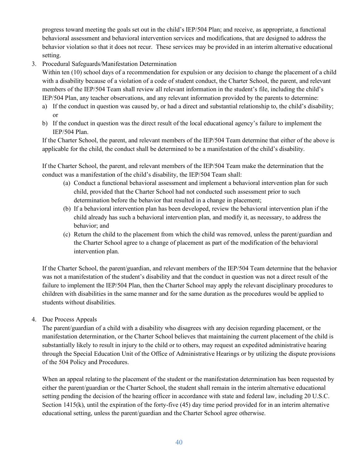progress toward meeting the goals set out in the child's IEP/504 Plan; and receive, as appropriate, a functional behavioral assessment and behavioral intervention services and modifications, that are designed to address the behavior violation so that it does not recur. These services may be provided in an interim alternative educational setting.

3. Procedural Safeguards/Manifestation Determination

Within ten (10) school days of a recommendation for expulsion or any decision to change the placement of a child with a disability because of a violation of a code of student conduct, the Charter School, the parent, and relevant members of the IEP/504 Team shall review all relevant information in the student's file, including the child's IEP/504 Plan, any teacher observations, and any relevant information provided by the parents to determine:

- a) If the conduct in question was caused by, or had a direct and substantial relationship to, the child's disability; or
- b) If the conduct in question was the direct result of the local educational agency's failure to implement the IEP/504 Plan.

If the Charter School, the parent, and relevant members of the IEP/504 Team determine that either of the above is applicable for the child, the conduct shall be determined to be a manifestation of the child's disability.

If the Charter School, the parent, and relevant members of the IEP/504 Team make the determination that the conduct was a manifestation of the child's disability, the IEP/504 Team shall:

- (a) Conduct a functional behavioral assessment and implement a behavioral intervention plan for such child, provided that the Charter School had not conducted such assessment prior to such determination before the behavior that resulted in a change in placement;
- (b) If a behavioral intervention plan has been developed, review the behavioral intervention plan if the child already has such a behavioral intervention plan, and modify it, as necessary, to address the behavior; and
- (c) Return the child to the placement from which the child was removed, unless the parent/guardian and the Charter School agree to a change of placement as part of the modification of the behavioral intervention plan.

If the Charter School, the parent/guardian, and relevant members of the IEP/504 Team determine that the behavior was not a manifestation of the student's disability and that the conduct in question was not a direct result of the failure to implement the IEP/504 Plan, then the Charter School may apply the relevant disciplinary procedures to children with disabilities in the same manner and for the same duration as the procedures would be applied to students without disabilities.

4. Due Process Appeals

The parent/guardian of a child with a disability who disagrees with any decision regarding placement, or the manifestation determination, or the Charter School believes that maintaining the current placement of the child is substantially likely to result in injury to the child or to others, may request an expedited administrative hearing through the Special Education Unit of the Office of Administrative Hearings or by utilizing the dispute provisions of the 504 Policy and Procedures.

When an appeal relating to the placement of the student or the manifestation determination has been requested by either the parent/guardian or the Charter School, the student shall remain in the interim alternative educational setting pending the decision of the hearing officer in accordance with state and federal law, including 20 U.S.C. Section 1415(k), until the expiration of the forty-five (45) day time period provided for in an interim alternative educational setting, unless the parent/guardian and the Charter School agree otherwise.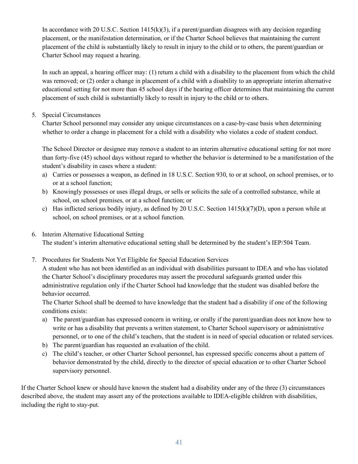In accordance with 20 U.S.C. Section  $1415(k)(3)$ , if a parent/guardian disagrees with any decision regarding placement, or the manifestation determination, or if the Charter School believes that maintaining the current placement of the child is substantially likely to result in injury to the child or to others, the parent/guardian or Charter School may request a hearing.

In such an appeal, a hearing officer may: (1) return a child with a disability to the placement from which the child was removed; or (2) order a change in placement of a child with a disability to an appropriate interim alternative educational setting for not more than 45 school days if the hearing officer determines that maintaining the current placement of such child is substantially likely to result in injury to the child or to others.

#### 5. Special Circumstances

Charter School personnel may consider any unique circumstances on a case-by-case basis when determining whether to order a change in placement for a child with a disability who violates a code of student conduct.

The School Director or designee may remove a student to an interim alternative educational setting for not more than forty-five (45) school days without regard to whether the behavior is determined to be a manifestation of the student's disability in cases where a student:

- a) Carries or possesses a weapon, as defined in 18 U.S.C. Section 930, to or at school, on school premises, or to or at a school function;
- b) Knowingly possesses or uses illegal drugs, or sells or solicits the sale of a controlled substance, while at school, on school premises, or at a school function; or
- c) Has inflicted serious bodily injury, as defined by 20 U.S.C. Section  $1415(k)(7)(D)$ , upon a person while at school, on school premises, or at a school function.
- 6. Interim Alternative Educational Setting The student's interim alternative educational setting shall be determined by the student's IEP/504 Team.
- 7. Procedures for Students Not Yet Eligible for Special Education Services A student who has not been identified as an individual with disabilities pursuant to IDEA and who has violated

the Charter School's disciplinary procedures may assert the procedural safeguards granted under this administrative regulation only if the Charter School had knowledge that the student was disabled before the behavior occurred.

The Charter School shall be deemed to have knowledge that the student had a disability if one of the following conditions exists:

- a) The parent/guardian has expressed concern in writing, or orally if the parent/guardian does not know how to write or has a disability that prevents a written statement, to Charter School supervisory or administrative personnel, or to one of the child's teachers, that the student is in need of special education or related services.
- b) The parent/guardian has requested an evaluation of the child.
- c) The child's teacher, or other Charter School personnel, has expressed specific concerns about a pattern of behavior demonstrated by the child, directly to the director of special education or to other Charter School supervisory personnel.

If the Charter School knew or should have known the student had a disability under any of the three (3) circumstances described above, the student may assert any of the protections available to IDEA-eligible children with disabilities, including the right to stay-put.